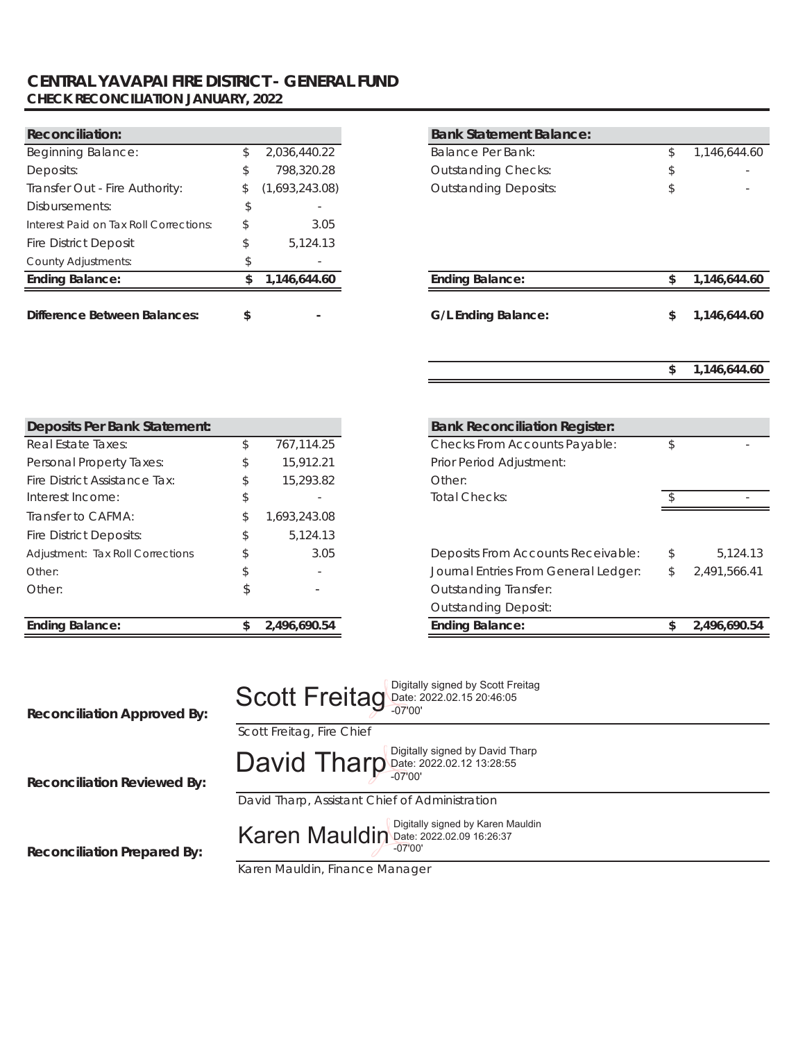### **CENTRAL YAVAPAI FIRE DISTRICT - GENERAL FUND CHECK RECONCILIATION JANUARY, 2022**

| <b>Reconciliation:</b>                 |    |                | <b>Bank Statement Balance:</b> |            |
|----------------------------------------|----|----------------|--------------------------------|------------|
| Beginning Balance:                     |    | 2,036,440.22   | Balance Per Bank:              | 1,146,644. |
| Deposits:                              | \$ | 798,320.28     | <b>Outstanding Checks:</b>     |            |
| Transfer Out - Fire Authority:         | S. | (1,693,243.08) | <b>Outstanding Deposits:</b>   |            |
| Disbursements:                         |    |                |                                |            |
| Interest Paid on Tax Roll Corrections: | S  | 3.05           |                                |            |
| <b>Fire District Deposit</b>           |    | 5.124.13       |                                |            |
| <b>County Adjustments:</b>             |    |                |                                |            |
| <b>Ending Balance:</b>                 |    | 1,146,644.60   | <b>Ending Balance:</b>         | 1,146,644. |
|                                        |    |                |                                |            |
| <b>Difference Between Balances:</b>    | \$ |                | G/L Ending Balance:            | 1,146,644. |

| <b>Reconciliation:</b>                 |    |                | <b>Bank Statement Balance:</b> |     |              |
|----------------------------------------|----|----------------|--------------------------------|-----|--------------|
| Beginning Balance:                     | \$ | 2,036,440.22   | Balance Per Bank:              | \$  | 1,146,644.60 |
| Deposits:                              | \$ | 798,320.28     | <b>Outstanding Checks:</b>     |     |              |
| Transfer Out - Fire Authority:         | \$ | (1,693,243.08) | <b>Outstanding Deposits:</b>   |     |              |
| Disbursements:                         |    |                |                                |     |              |
| Interest Paid on Tax Roll Corrections: | \$ | 3.05           |                                |     |              |
| <b>Fire District Deposit</b>           | \$ | 5,124.13       |                                |     |              |
| County Adjustments:                    | r. |                |                                |     |              |
| <b>Ending Balance:</b>                 | S. | 1.146.644.60   | <b>Ending Balance:</b>         | \$. | 1.146.644.60 |
| Difference Between Balances:           | \$ |                | <b>G/L Ending Balance:</b>     | \$  | 1,146,644.60 |
|                                        |    |                |                                |     |              |

| Deposits Per Bank Statement:     |                    | <b>Bank Reconciliation R</b>  |
|----------------------------------|--------------------|-------------------------------|
| Real Estate Taxes:               | \$<br>767,114.25   | <b>Checks From Accounts</b>   |
| Personal Property Taxes:         | \$<br>15,912.21    | Prior Period Adjustment:      |
| Fire District Assistance Tax:    | \$<br>15,293.82    | Other:                        |
| Interest Income:                 | \$                 | Total Checks:                 |
| Transfer to CAFMA:               | \$<br>1,693,243.08 |                               |
| Fire District Deposits:          | \$<br>5,124.13     |                               |
| Adjustment: Tax Roll Corrections | \$<br>3.05         | <b>Deposits From Accounts</b> |
| Other:                           | \$                 | Journal Entries From Ge       |
| Other:                           | \$                 | <b>Outstanding Transfer:</b>  |
|                                  |                    | <b>Outstanding Deposit:</b>   |
| <b>Ending Balance:</b>           | \$<br>2,496,690.54 | <b>Ending Balance:</b>        |

| Deposits Per Bank Statement:     |    |              | <b>Bank Reconciliation Register:</b> |              |
|----------------------------------|----|--------------|--------------------------------------|--------------|
| Real Estate Taxes:               |    | 767,114.25   | Checks From Accounts Payable:        |              |
| Personal Property Taxes:         | S. | 15,912.21    | Prior Period Adjustment:             |              |
| Fire District Assistance Tax:    |    | 15,293.82    | Other:                               |              |
| Interest Income:                 |    |              | <b>Total Checks:</b>                 |              |
| Transfer to CAFMA:               |    | 693,243.08   |                                      |              |
| Fire District Deposits:          |    | 5,124.13     |                                      |              |
| Adjustment: Tax Roll Corrections |    | 3.05         | Deposits From Accounts Receivable:   |              |
| Other:                           |    |              | Journal Entries From General Ledger: | 2,491,566.41 |
| Other:                           |    |              | <b>Outstanding Transfer:</b>         |              |
|                                  |    |              | <b>Outstanding Deposit:</b>          |              |
| <b>Ending Balance:</b>           |    | 2,496,690.54 | <b>Ending Balance:</b>               | 2.496.690.54 |

| <b>Reconciliation Approved By:</b> | Scott Freitag Digitally signed by Scott Freitag              |  |  |  |  |
|------------------------------------|--------------------------------------------------------------|--|--|--|--|
|                                    | Scott Freitag, Fire Chief                                    |  |  |  |  |
| <b>Reconciliation Reviewed By:</b> | David Tharp Date: 2022.02.12 13:28:55                        |  |  |  |  |
|                                    | David Tharp, Assistant Chief of Administration               |  |  |  |  |
| <b>Reconciliation Prepared By:</b> | Karen Mauldin Digitally signed by Karen Mauldin<br>$-07'00'$ |  |  |  |  |
|                                    | Karen Mauldin, Finance Manager                               |  |  |  |  |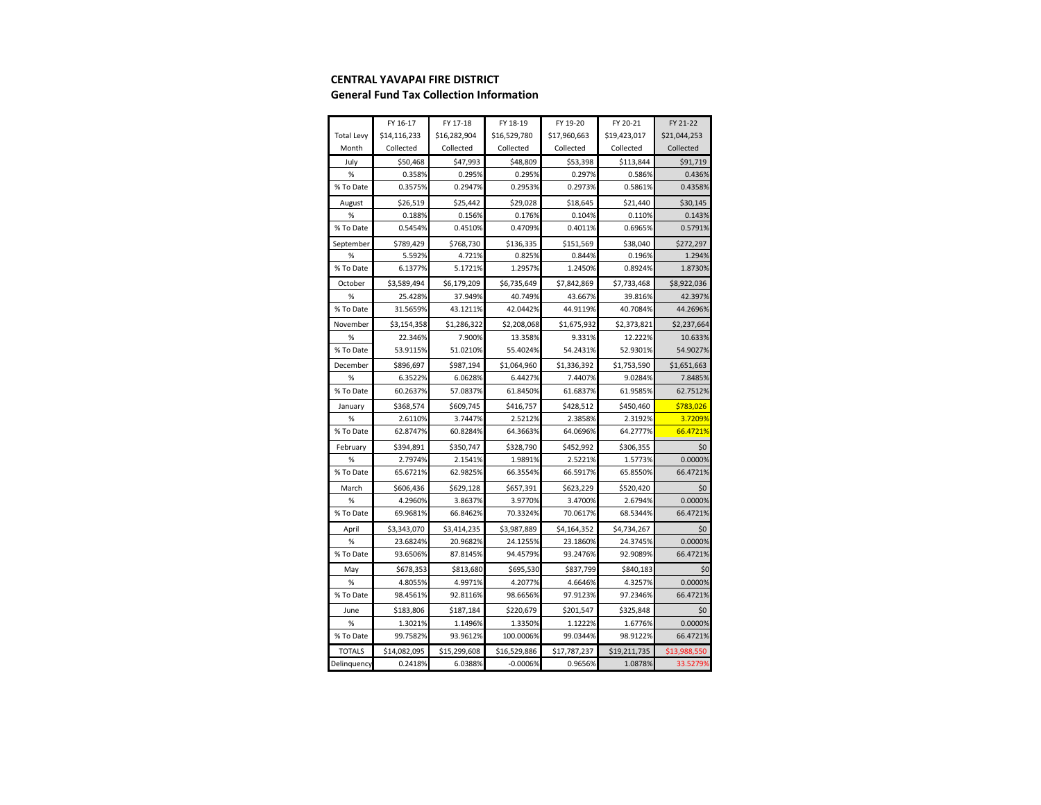#### **CENTRAL YAVAPAI FIRE DISTRICT**

#### **General Fund Tax Collection Information**

|                   | FY 16-17     | FY 17-18     | FY 18-19     | FY 19-20     | FY 20-21     | FY 21-22     |
|-------------------|--------------|--------------|--------------|--------------|--------------|--------------|
| <b>Total Levy</b> | \$14,116,233 | \$16,282,904 | \$16,529,780 | \$17,960,663 | \$19,423,017 | \$21,044,253 |
| Month             | Collected    | Collected    | Collected    | Collected    | Collected    | Collected    |
| July              | \$50,468     | \$47,993     | \$48,809     | \$53,398     | \$113,844    | \$91,719     |
| %                 | 0.358%       | 0.295%       | 0.295%       | 0.297%       | 0.586%       | 0.436%       |
| % To Date         | 0.3575%      | 0.2947%      | 0.2953%      | 0.2973%      | 0.5861%      | 0.4358%      |
| August            | \$26,519     | \$25,442     | \$29,028     | \$18,645     | \$21,440     | \$30,145     |
| %                 | 0.188%       | 0.156%       | 0.176%       | 0.104%       | 0.110%       | 0.143%       |
| % To Date         | 0.5454%      | 0.4510%      | 0.4709%      | 0.4011%      | 0.6965%      | 0.5791%      |
| September         | \$789,429    | \$768,730    | \$136,335    | \$151,569    | \$38,040     | \$272,297    |
| %                 | 5.592%       | 4.721%       | 0.825%       | 0.844%       | 0.196%       | 1.294%       |
| % To Date         | 6.1377%      | 5.1721%      | 1.2957%      | 1.2450%      | 0.8924%      | 1.8730%      |
| October           | \$3,589,494  | \$6,179,209  | \$6,735,649  | \$7,842,869  | \$7,733,468  | \$8,922,036  |
| %                 | 25.428%      | 37.949%      | 40.749%      | 43.667%      | 39.816%      | 42.397%      |
| % To Date         | 31.5659%     | 43.1211%     | 42.0442%     | 44.9119%     | 40.7084%     | 44.2696%     |
| November          | \$3,154,358  | \$1,286,322  | \$2,208,068  | \$1,675,932  | \$2,373,821  | \$2,237,664  |
| %                 | 22.346%      | 7.900%       | 13.358%      | 9.331%       | 12.222%      | 10.633%      |
| % To Date         | 53.9115%     | 51.0210%     | 55.4024%     | 54.2431%     | 52.9301%     | 54.9027%     |
| December          | \$896,697    | \$987,194    | \$1,064,960  | \$1,336,392  | \$1,753,590  | \$1,651,663  |
| %                 | 6.3522%      | 6.0628%      | 6.4427%      | 7.4407%      | 9.0284%      | 7.8485%      |
| % To Date         | 60.2637%     | 57.0837%     | 61.8450%     | 61.6837%     | 61.9585%     | 62.7512%     |
| January           | \$368,574    | \$609,745    | \$416,757    | \$428,512    | \$450,460    | \$783,026    |
| %                 | 2.6110%      | 3.7447%      | 2.5212%      | 2.3858%      | 2.3192%      | 3.7209%      |
| % To Date         | 62.8747%     | 60.8284%     | 64.3663%     | 64.0696%     | 64.2777%     | 66.4721%     |
| February          | \$394,891    | \$350,747    | \$328,790    | \$452,992    | \$306,355    | \$0          |
| %                 | 2.7974%      | 2.1541%      | 1.9891%      | 2.5221%      | 1.5773%      | 0.0000%      |
| % To Date         | 65.6721%     | 62.9825%     | 66.3554%     | 66.5917%     | 65.8550%     | 66.4721%     |
| March             | \$606,436    | \$629,128    | \$657,391    | \$623,229    | \$520,420    | \$0          |
| %                 | 4.2960%      | 3.8637%      | 3.9770%      | 3.4700%      | 2.6794%      | 0.0000%      |
| % To Date         | 69.9681%     | 66.8462%     | 70.3324%     | 70.0617%     | 68.5344%     | 66.4721%     |
| April             | \$3,343,070  | \$3,414,235  | \$3,987,889  | \$4,164,352  | \$4,734,267  | \$0          |
| %                 | 23.6824%     | 20.9682%     | 24.1255%     | 23.1860%     | 24.3745%     | 0.0000%      |
| % To Date         | 93.6506%     | 87.8145%     | 94.4579%     | 93.2476%     | 92.9089%     | 66.4721%     |
| May               | \$678,353    | \$813,680    | \$695,530    | \$837,799    | \$840,183    | \$0          |
| %                 | 4.8055%      | 4.9971%      | 4.2077%      | 4.6646%      | 4.3257%      | 0.0000%      |
| % To Date         | 98.4561%     | 92.8116%     | 98.6656%     | 97.9123%     | 97.2346%     | 66.4721%     |
| June              | \$183,806    | \$187,184    | \$220,679    | \$201,547    | \$325,848    | \$0          |
| %                 | 1.3021%      | 1.1496%      | 1.3350%      | 1.1222%      | 1.6776%      | 0.0000%      |
| % To Date         | 99.7582%     | 93.9612%     | 100.0006%    | 99.0344%     | 98.9122%     | 66.4721%     |
| <b>TOTALS</b>     | \$14,082,095 | \$15,299,608 | \$16,529,886 | \$17,787,237 | \$19,211,735 | \$13,988,550 |
| Delinquency       | 0.2418%      | 6.0388%      | $-0.0006%$   | 0.9656%      | 1.0878%      | 33.5279%     |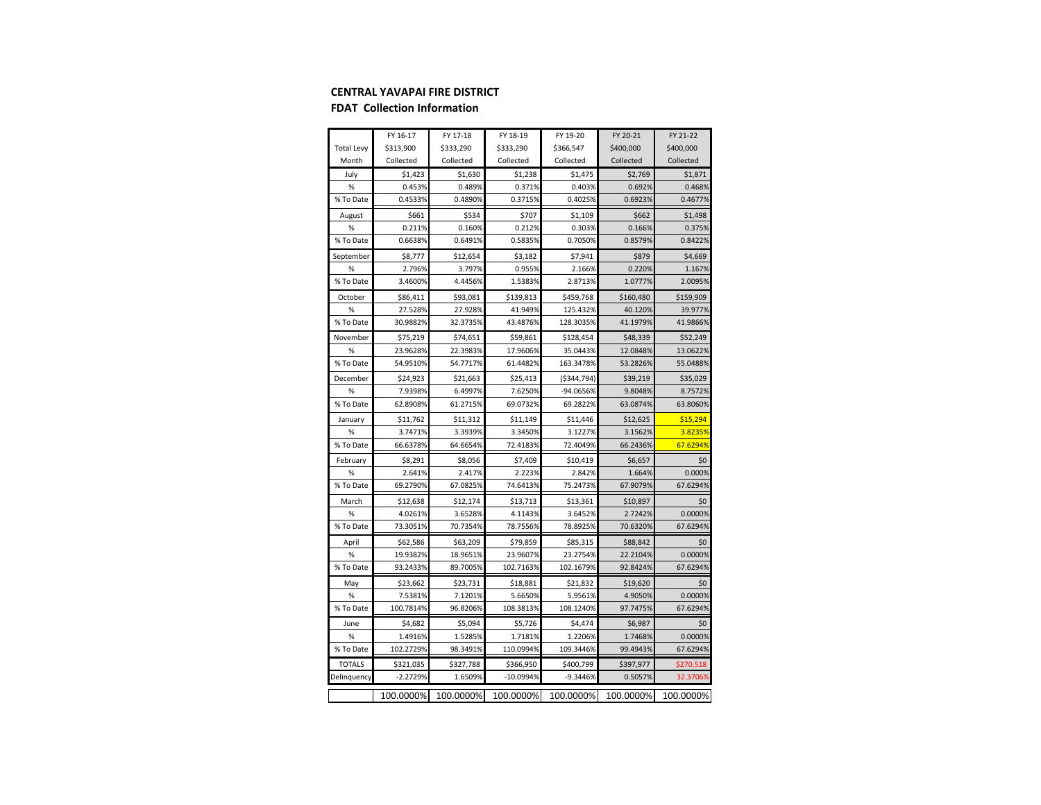#### **CENTRAL YAVAPAI FIRE DISTRICT**

#### **FDAT Collection Information**

|                   | FY 16-17   | FY 17-18  | FY 18-19  | FY 19-20      | FY 20-21  | FY 21-22  |
|-------------------|------------|-----------|-----------|---------------|-----------|-----------|
| <b>Total Levy</b> | \$313,900  | \$333,290 | \$333,290 | \$366,547     | \$400,000 | \$400,000 |
| Month             | Collected  | Collected | Collected | Collected     | Collected | Collected |
| July              | \$1,423    | \$1,630   | \$1,238   | \$1,475       | \$2,769   | \$1,871   |
| %                 | 0.453%     | 0.489%    | 0.371%    | 0.403%        | 0.692%    | 0.468%    |
| % To Date         | 0.4533%    | 0.4890%   | 0.3715%   | 0.4025%       | 0.6923%   | 0.4677%   |
| August            | \$661      | \$534     | \$707     | \$1,109       | \$662     | \$1,498   |
| %                 | 0.211%     | 0.160%    | 0.212%    | 0.303%        | 0.166%    | 0.375%    |
| % To Date         | 0.6638%    | 0.6491%   | 0.5835%   | 0.7050%       | 0.8579%   | 0.8422%   |
| September         | \$8,777    | \$12,654  | \$3,182   | \$7,941       | \$879     | \$4,669   |
| %                 | 2.796%     | 3.797%    | 0.955%    | 2.166%        | 0.220%    | 1.167%    |
| % To Date         | 3.4600%    | 4.4456%   | 1.5383%   | 2.8713%       | 1.0777%   | 2.0095%   |
| October           | \$86,411   | \$93,081  | \$139,813 | \$459,768     | \$160,480 | \$159,909 |
| %                 | 27.528%    | 27.928%   | 41.949%   | 125.432%      | 40.120%   | 39.977%   |
| % To Date         | 30.9882%   | 32.3735%  | 43.4876%  | 128.3035%     | 41.1979%  | 41.9866%  |
| November          | \$75,219   | \$74,651  | \$59,861  | \$128,454     | \$48,339  | \$52,249  |
| %                 | 23.9628%   | 22.3983%  | 17.9606%  | 35.0443%      | 12.0848%  | 13.0622%  |
| % To Date         | 54.9510%   | 54.7717%  | 61.4482%  | 163.3478%     | 53.2826%  | 55.0488%  |
| December          | \$24,923   | \$21,663  | \$25,413  | ( \$344, 794] | \$39,219  | \$35,029  |
| %                 | 7.9398%    | 6.4997%   | 7.6250%   | -94.0656%     | 9.8048%   | 8.7572%   |
| % To Date         | 62.8908%   | 61.2715%  | 69.0732%  | 69.2822%      | 63.0874%  | 63.8060%  |
| January           | \$11,762   | \$11,312  | \$11,149  | \$11,446      | \$12,625  | \$15,294  |
| %                 | 3.7471%    | 3.3939%   | 3.3450%   | 3.1227%       | 3.1562%   | 3.8235%   |
| % To Date         | 66.6378%   | 64.6654%  | 72.4183%  | 72.4049%      | 66.2436%  | 67.6294%  |
| February          | \$8,291    | \$8,056   | \$7,409   | \$10,419      | \$6,657   | \$0       |
| %                 | 2.641%     | 2.417%    | 2.223%    | 2.842%        | 1.664%    | 0.000%    |
| % To Date         | 69.2790%   | 67.0825%  | 74.6413%  | 75.2473%      | 67.9079%  | 67.6294%  |
| March             | \$12,638   | \$12,174  | \$13,713  | \$13,361      | \$10,897  | \$0       |
| %                 | 4.0261%    | 3.6528%   | 4.1143%   | 3.6452%       | 2.7242%   | 0.0000%   |
| % To Date         | 73.3051%   | 70.7354%  | 78.7556%  | 78.8925%      | 70.6320%  | 67.6294%  |
| April             | \$62,586   | \$63,209  | \$79,859  | \$85,315      | \$88,842  | \$0       |
| %                 | 19.9382%   | 18.9651%  | 23.9607%  | 23.2754%      | 22.2104%  | 0.0000%   |
| % To Date         | 93.2433%   | 89.7005%  | 102.7163% | 102.1679%     | 92.8424%  | 67.6294%  |
| May               | \$23,662   | \$23,731  | \$18,881  | \$21,832      | \$19,620  | \$0       |
| %                 | 7.5381%    | 7.1201%   | 5.6650%   | 5.9561%       | 4.9050%   | 0.0000%   |
| % To Date         | 100.7814%  | 96.8206%  | 108.3813% | 108.1240%     | 97.7475%  | 67.6294%  |
| June              | \$4,682    | \$5,094   | \$5,726   | \$4,474       | \$6,987   | \$0       |
| %                 | 1.4916%    | 1.5285%   | 1.7181%   | 1.2206%       | 1.7468%   | 0.0000%   |
| % To Date         | 102.2729%  | 98.3491%  | 110.0994% | 109.3446%     | 99.4943%  | 67.6294%  |
| <b>TOTALS</b>     | \$321,035  | \$327,788 | \$366,950 | \$400,799     | \$397,977 | \$270,518 |
| Delinquency       | $-2.2729%$ | 1.6509%   | -10.0994% | $-9.3446%$    | 0.5057%   | 32.3706%  |
|                   | 100.0000%  | 100.0000% | 100.0000% | 100.0000%     | 100.0000% | 100.0000% |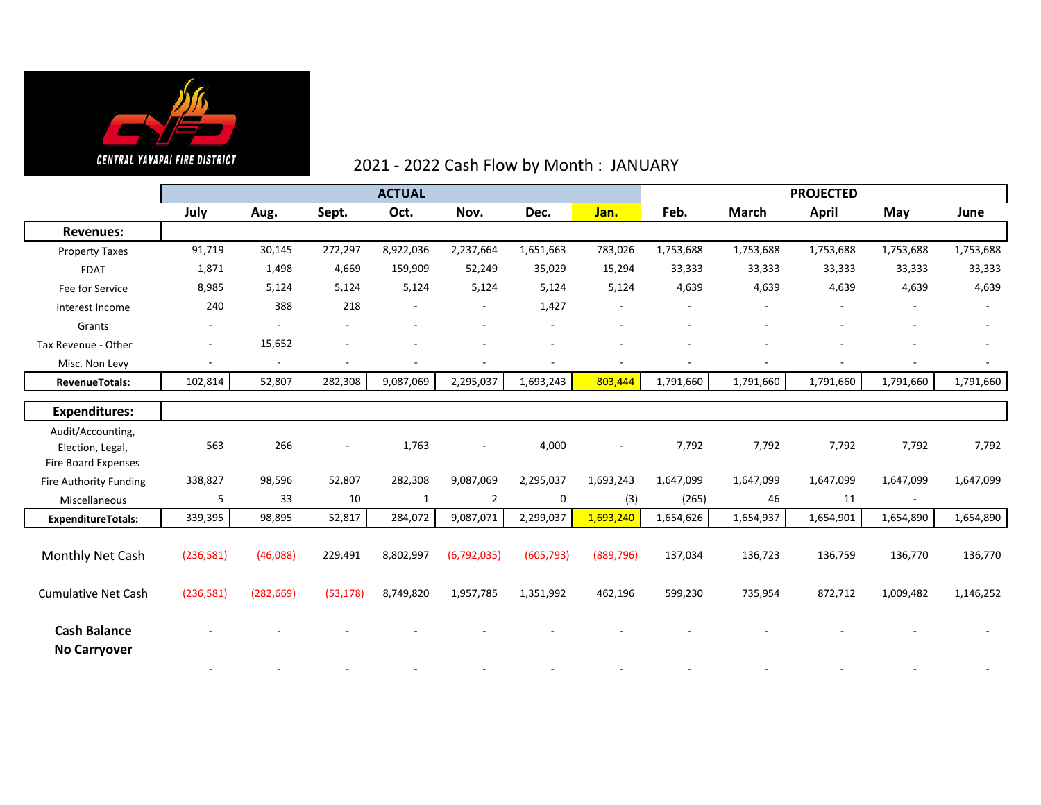

### 2021 - 2022 Cash Flow by Month : JANUARY

|                                                | <b>ACTUAL</b>            |                |                          |                          |                |            |            | <b>PROJECTED</b> |              |              |                          |           |
|------------------------------------------------|--------------------------|----------------|--------------------------|--------------------------|----------------|------------|------------|------------------|--------------|--------------|--------------------------|-----------|
|                                                | July                     | Aug.           | Sept.                    | Oct.                     | Nov.           | Dec.       | Jan.       | Feb.             | <b>March</b> | <b>April</b> | May                      | June      |
| <b>Revenues:</b>                               |                          |                |                          |                          |                |            |            |                  |              |              |                          |           |
| <b>Property Taxes</b>                          | 91,719                   | 30,145         | 272,297                  | 8,922,036                | 2,237,664      | 1,651,663  | 783,026    | 1,753,688        | 1,753,688    | 1,753,688    | 1,753,688                | 1,753,688 |
| <b>FDAT</b>                                    | 1,871                    | 1,498          | 4,669                    | 159,909                  | 52,249         | 35,029     | 15,294     | 33,333           | 33,333       | 33,333       | 33,333                   | 33,333    |
| Fee for Service                                | 8,985                    | 5,124          | 5,124                    | 5,124                    | 5,124          | 5,124      | 5,124      | 4,639            | 4,639        | 4,639        | 4,639                    | 4,639     |
| Interest Income                                | 240                      | 388            | 218                      | $\overline{\phantom{a}}$ | $\sim$         | 1,427      |            |                  |              | $\mathbf{r}$ |                          |           |
| Grants                                         |                          |                |                          |                          |                |            |            |                  |              |              |                          |           |
| Tax Revenue - Other                            | $\overline{\phantom{a}}$ | 15,652         |                          |                          |                |            |            |                  |              |              |                          |           |
| Misc. Non Levy                                 |                          | $\overline{a}$ | $\overline{\phantom{a}}$ |                          |                |            |            |                  |              |              |                          |           |
| <b>RevenueTotals:</b>                          | 102,814                  | 52,807         | 282,308                  | 9,087,069                | 2,295,037      | 1,693,243  | 803,444    | 1,791,660        | 1,791,660    | 1,791,660    | 1,791,660                | 1,791,660 |
|                                                |                          |                |                          |                          |                |            |            |                  |              |              |                          |           |
| <b>Expenditures:</b>                           |                          |                |                          |                          |                |            |            |                  |              |              |                          |           |
| Audit/Accounting,                              | 563                      | 266            | $\overline{\phantom{a}}$ | 1,763                    |                |            |            |                  | 7,792        | 7,792        | 7,792                    |           |
| Election, Legal,<br><b>Fire Board Expenses</b> |                          |                |                          |                          |                | 4,000      |            | 7,792            |              |              |                          | 7,792     |
| Fire Authority Funding                         | 338,827                  | 98,596         | 52,807                   | 282,308                  | 9,087,069      | 2,295,037  | 1,693,243  | 1,647,099        | 1,647,099    | 1,647,099    | 1,647,099                | 1,647,099 |
| Miscellaneous                                  | 5                        | 33             | 10                       | 1                        | $\overline{2}$ | 0          | (3)        | (265)            | 46           | 11           | $\overline{\phantom{a}}$ |           |
| <b>ExpenditureTotals:</b>                      | 339,395                  | 98,895         | 52,817                   | 284,072                  | 9,087,071      | 2,299,037  | 1,693,240  | 1,654,626        | 1,654,937    | 1,654,901    | 1,654,890                | 1,654,890 |
|                                                |                          |                |                          |                          |                |            |            |                  |              |              |                          |           |
| Monthly Net Cash                               | (236,581)                | (46,088)       | 229,491                  | 8,802,997                | (6,792,035)    | (605, 793) | (889, 796) | 137,034          | 136,723      | 136,759      | 136,770                  | 136,770   |
|                                                |                          |                |                          |                          |                |            |            |                  |              |              |                          |           |
| <b>Cumulative Net Cash</b>                     | (236,581)                | (282, 669)     | (53, 178)                | 8,749,820                | 1,957,785      | 1,351,992  | 462,196    | 599,230          | 735,954      | 872,712      | 1,009,482                | 1,146,252 |
|                                                |                          |                |                          |                          |                |            |            |                  |              |              |                          |           |
| <b>Cash Balance</b>                            |                          |                |                          |                          |                |            |            |                  |              |              |                          |           |
| <b>No Carryover</b>                            |                          |                |                          |                          |                |            |            |                  |              |              |                          |           |
|                                                |                          |                |                          |                          |                |            |            |                  |              |              |                          |           |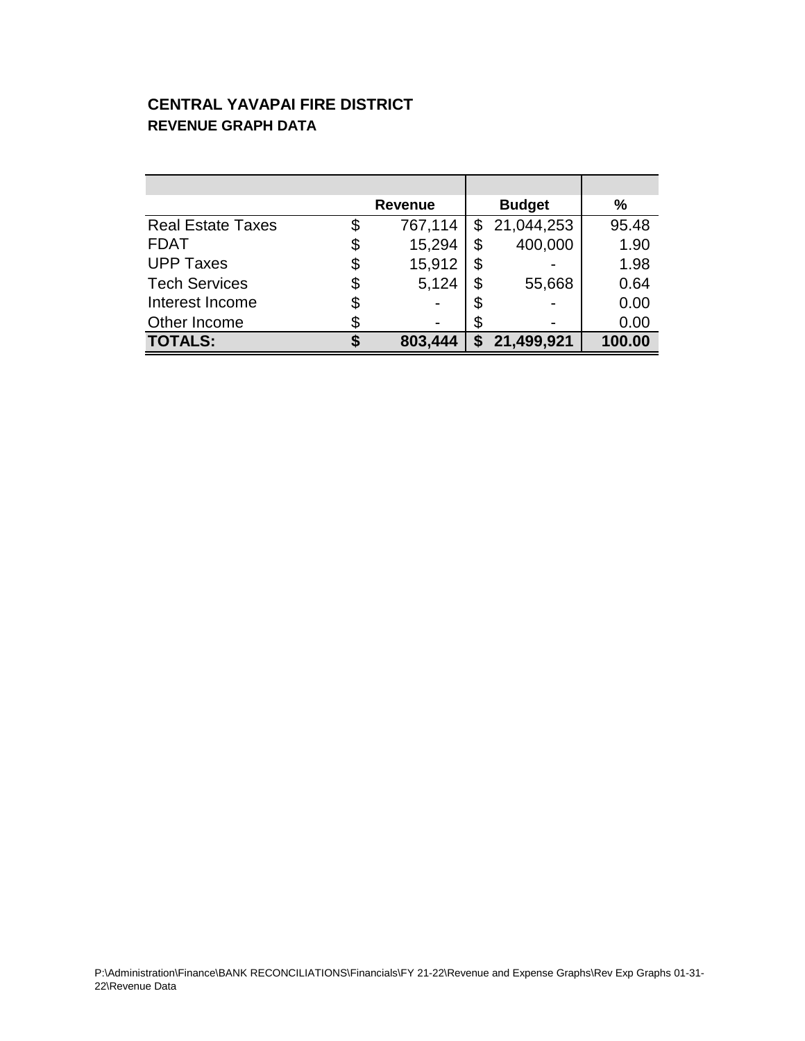### **CENTRAL YAVAPAI FIRE DISTRICT REVENUE GRAPH DATA**

|                          | <b>Revenue</b> |                | <b>Budget</b> |            | %      |
|--------------------------|----------------|----------------|---------------|------------|--------|
| <b>Real Estate Taxes</b> | \$             | 767,114        | \$            | 21,044,253 | 95.48  |
| <b>FDAT</b>              | \$             | 15,294         | \$            | 400,000    | 1.90   |
| <b>UPP Taxes</b>         | \$             | 15,912         | \$            |            | 1.98   |
| <b>Tech Services</b>     | \$             | 5,124          | \$            | 55,668     | 0.64   |
| Interest Income          | \$             |                | \$            |            | 0.00   |
| Other Income             |                | $\blacksquare$ | \$            |            | 0.00   |
| <b>TOTALS:</b>           |                | 803,444        | S             | 21,499,921 | 100.00 |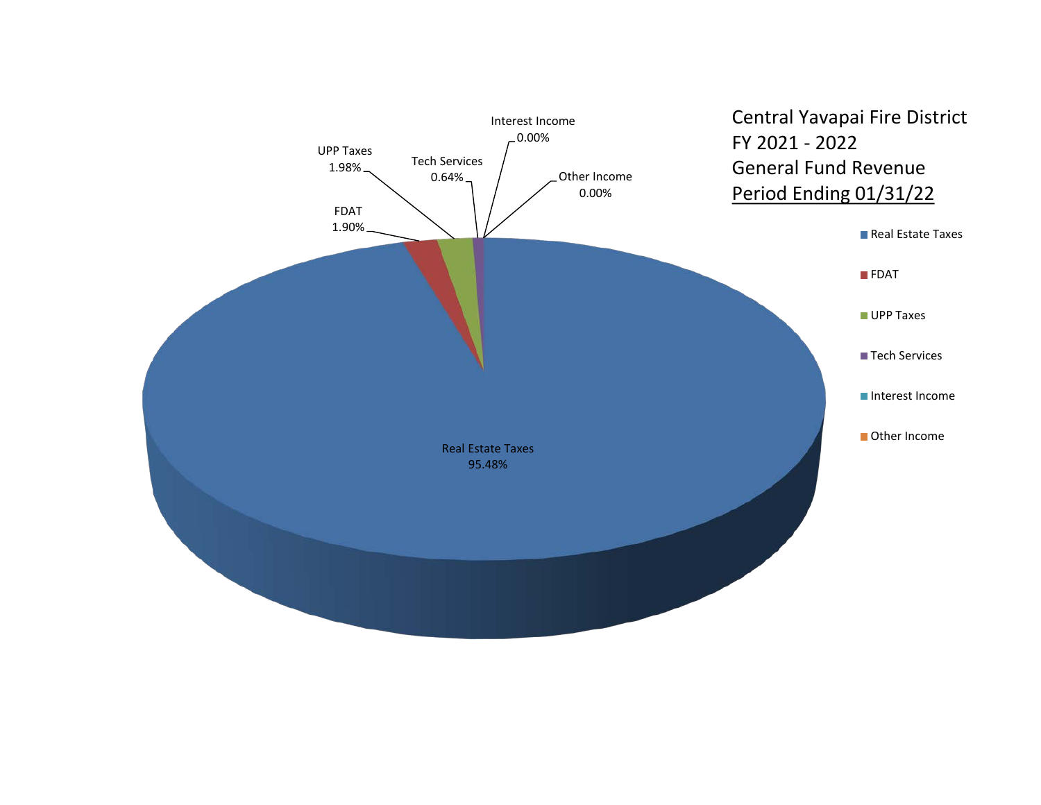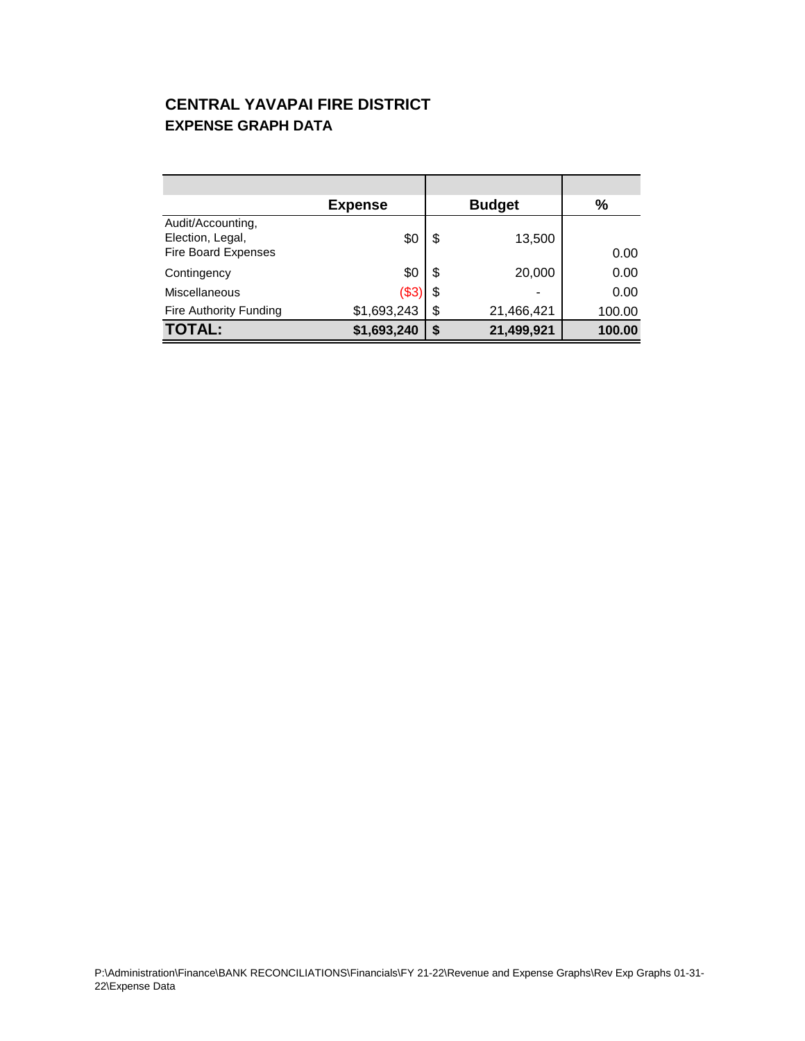### **CENTRAL YAVAPAI FIRE DISTRICT EXPENSE GRAPH DATA**

|                                                                     | <b>Expense</b> | <b>Budget</b>    | $\%$   |
|---------------------------------------------------------------------|----------------|------------------|--------|
| Audit/Accounting,<br>Election, Legal,<br><b>Fire Board Expenses</b> | \$С            | \$<br>13,500     | 0.00   |
| Contingency                                                         | \$0            | \$<br>20,000     | 0.00   |
| Miscellaneous                                                       | (\$3           | \$<br>۰          | 0.00   |
| Fire Authority Funding                                              | \$1,693,243    | \$<br>21,466,421 | 100.00 |
| <b>TOTAL:</b>                                                       | \$1,693,240    | \$<br>21,499,921 | 100.00 |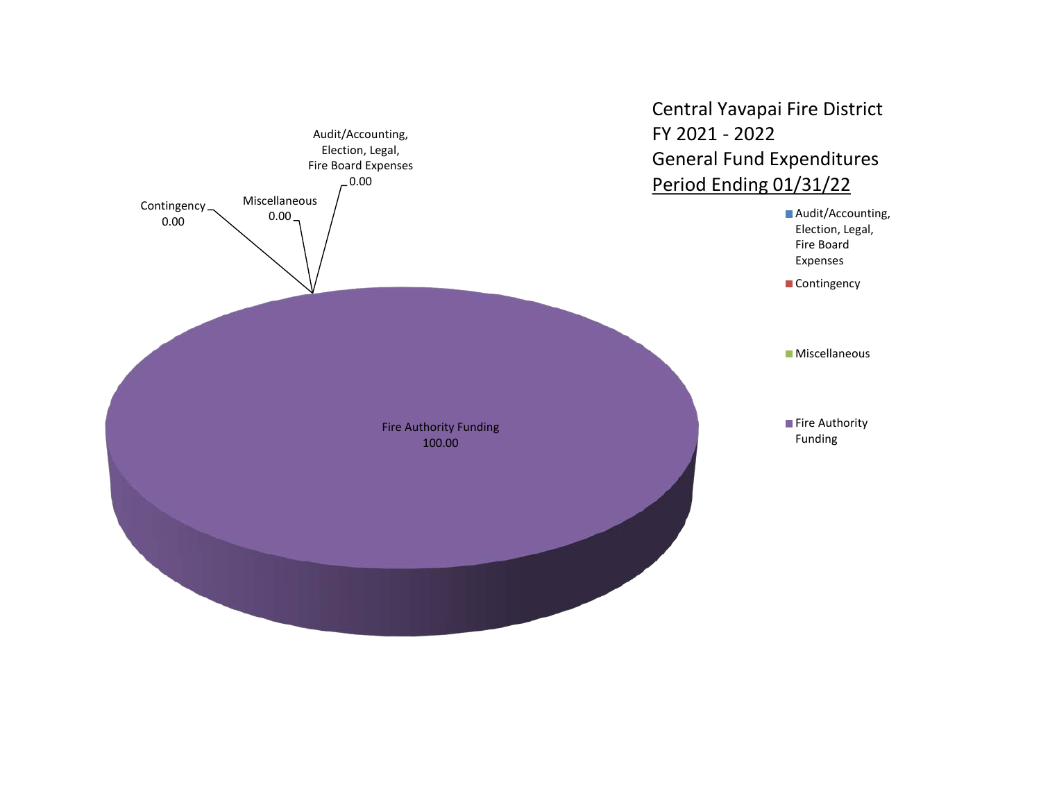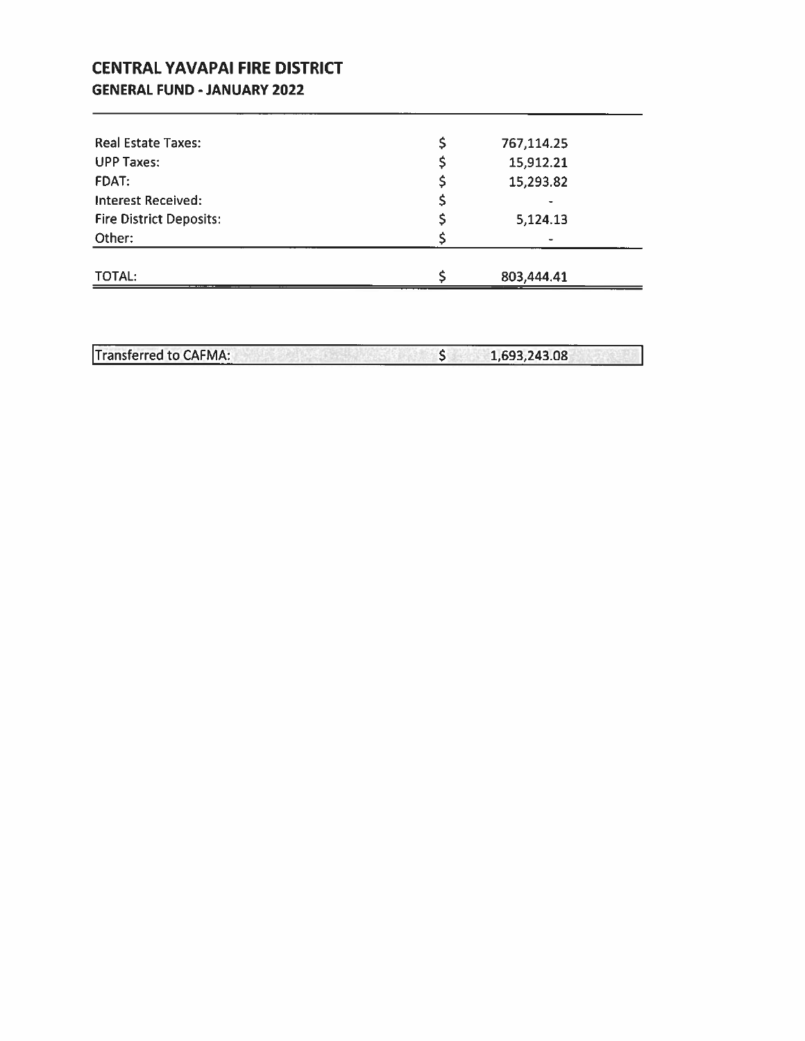### **CENTRAL YAVAPAI FIRE DISTRICT GENERAL FUND - JANUARY 2022**

| <b>Real Estate Taxes:</b>      | \$<br>767,114.25 |  |
|--------------------------------|------------------|--|
| <b>UPP Taxes:</b>              | 15,912.21        |  |
| FDAT:                          | 15,293.82        |  |
| <b>Interest Received:</b>      |                  |  |
| <b>Fire District Deposits:</b> | 5,124.13         |  |
| Other:                         |                  |  |
|                                |                  |  |
| TOTAL:                         | 803,444.41       |  |

|                              | $-1 - 1$<br>. . |
|------------------------------|-----------------|
| <b>Transferred to CAFMA:</b> | 1,693,243.08    |

<u> 1980 - Jan Sterling van die Sterling van die Sterling van die Sterling van die Sterling van die Sterling van die S</u>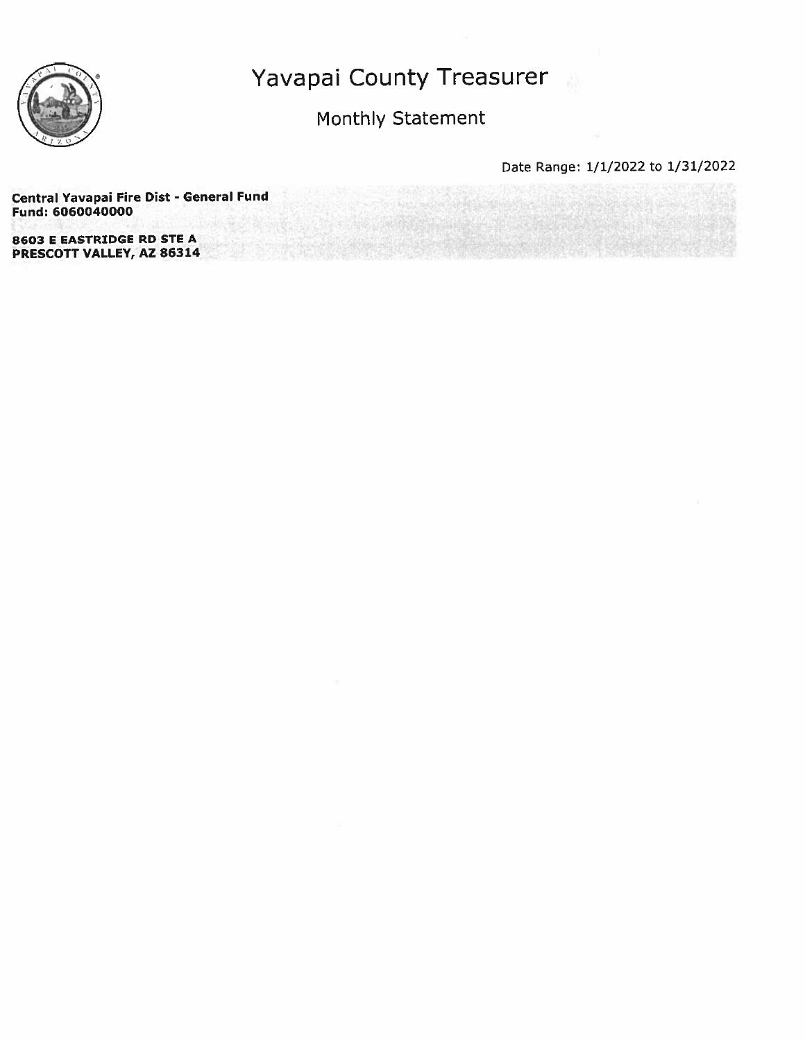

### Monthly Statement

Date Range: 1/1/2022 to 1/31/2022

Central Yavapai Fire Dist - General Fund Fund: 6060040000

**8603 E EASTRIDGE RD STE A** PRESCOTT VALLEY, AZ 86314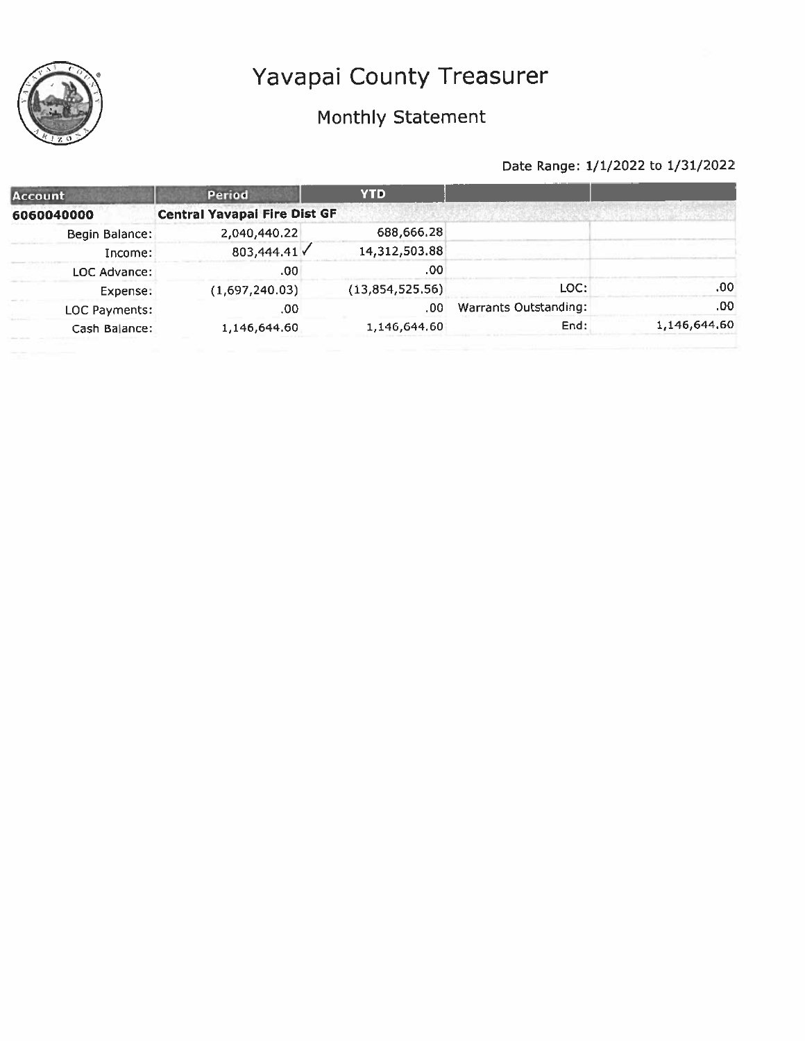## Monthly Statement

| <b>Account</b> | Period                              | <b>YTD</b>      |                       |              |
|----------------|-------------------------------------|-----------------|-----------------------|--------------|
| 6060040000     | <b>Central Yavapai Fire Dist GF</b> |                 |                       |              |
| Begin Balance: | 2,040,440.22                        | 688,666.28      |                       |              |
| Income:        | 803,444.41                          | 14,312,503.88   |                       |              |
| LOC Advance:   | .00                                 | .00             |                       |              |
| Expense:       | (1,697,240.03)                      | (13,854,525.56) | LOC:                  | .00          |
| LOC Payments:  | .00                                 | .00             | Warrants Outstanding: | .00          |
| Cash Balance:  | 1,146,644.60                        | 1,146,644.60    | End:                  | 1,146,644,60 |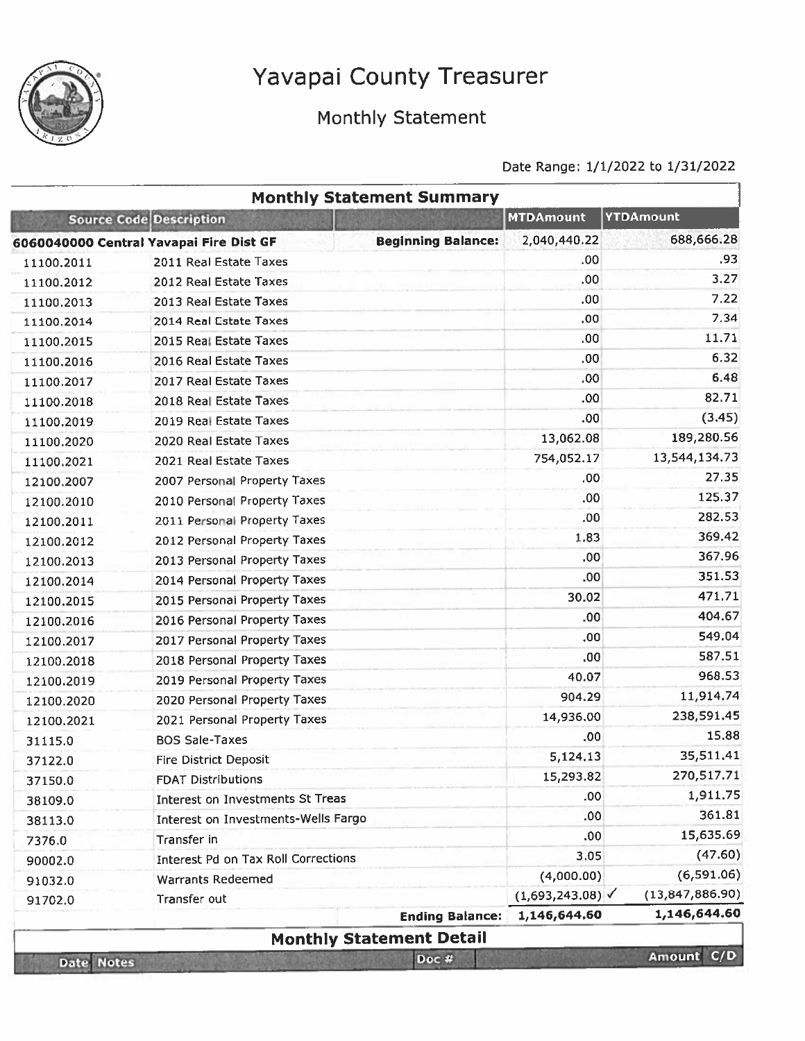

## Monthly Statement

|                   |                                         | <b>Monthly Statement Summary</b> |                               |                      |
|-------------------|-----------------------------------------|----------------------------------|-------------------------------|----------------------|
|                   | <b>Source Code Description</b>          |                                  | <b>MTDAmount</b>              | <b>YTDAmount</b>     |
|                   | 6060040000 Central Yavapai Fire Dist GF | <b>Beginning Balance:</b>        | 2,040,440.22                  | 688,666.28           |
| 11100.2011        | 2011 Real Estate Taxes                  |                                  | .00                           | .93                  |
| 11100.2012        | 2012 Real Estate Taxes                  |                                  | .00                           | 3.27                 |
| 11100.2013        | 2013 Real Estate Taxes                  |                                  | .00                           | 7.22                 |
| 11100.2014        | 2014 Real Estate Taxes                  |                                  | .00.                          | 7.34                 |
| 11100.2015        | 2015 Real Estate Taxes                  |                                  | .00                           | 11.71                |
| 11100.2016        | 2016 Real Estate Taxes                  |                                  | .00 <sub>1</sub>              | 6.32                 |
| 11100.2017        | 2017 Real Estate Taxes                  |                                  | .00                           | 6.48                 |
| 11100.2018        | 2018 Real Estate Taxes                  |                                  | .00                           | 82.71                |
| 11100.2019        | 2019 Real Estate Taxes                  |                                  | .00                           | (3.45)               |
| 11100.2020        | 2020 Real Estate Taxes                  |                                  | 13,062.08                     | 189,280.56           |
| 11100.2021        | 2021 Real Estate Taxes                  |                                  | 754,052.17                    | 13,544,134.73        |
| 12100.2007        | 2007 Personal Property Taxes            |                                  | .00                           | 27,35                |
| 12100.2010        | 2010 Personal Property Taxes            |                                  | .00.                          | 125.37               |
| 12100.2011        | 2011 Personal Property Taxes            |                                  | .00                           | 282.53               |
| 12100.2012        | 2012 Personal Property Taxes            |                                  | 1.83                          | 369.42               |
| 12100.2013        | 2013 Personal Property Taxes            |                                  | .00                           | 367.96               |
| 12100.2014        | 2014 Personal Property Taxes            |                                  | .00                           | 351.53               |
| 12100.2015        | 2015 Personal Property Taxes            |                                  | 30.02                         | 471.71               |
| 12100.2016        | 2016 Personal Property Taxes            |                                  | .00                           | 404.67               |
| 12100.2017        | 2017 Personal Property Taxes            |                                  | .00                           | 549.04               |
| 12100.2018        | 2018 Personal Property Taxes            |                                  | .00.                          | 587.51               |
| 12100.2019        | 2019 Personal Property Taxes            |                                  | 40.07                         | 968.53               |
| 12100.2020        | 2020 Personal Property Taxes            |                                  | 904.29                        | 11,914.74            |
| 12100.2021        | 2021 Personal Property Taxes            |                                  | 14,936.00                     | 238,591.45           |
| 31115.0           | <b>BOS Sale-Taxes</b>                   |                                  | .00.                          | 15,88                |
| 37122.0           | <b>Fire District Deposit</b>            |                                  | 5,124.13                      | 35,511.41            |
| 37150.0           | <b>FDAT Distributions</b>               |                                  | 15,293.82                     | 270,517.71           |
| 38109.0           | Interest on Investments St Treas        |                                  | .00                           | 1,911.75             |
| 38113.0           | Interest on Investments-Wells Fargo     |                                  | .00.                          | 361.81               |
| 7376.0            | Transfer in                             |                                  | .00                           | 15,635.69            |
| 90002.0           | Interest Pd on Tax Roll Corrections     |                                  | 3.05                          | (47.60)              |
| 91032.0           | <b>Warrants Redeemed</b>                |                                  | (4,000.00)                    | (6,591.06)           |
| 91702.0           | Transfer out                            |                                  | $(1,693,243.08)$ $\checkmark$ | (13,847,886.90)      |
|                   |                                         | <b>Ending Balance:</b>           | 1,146,644.60                  | 1,146,644.60         |
|                   |                                         | <b>Monthly Statement Detail</b>  |                               |                      |
| <b>Date Notes</b> |                                         | Doc #                            |                               | C/D<br><b>Amount</b> |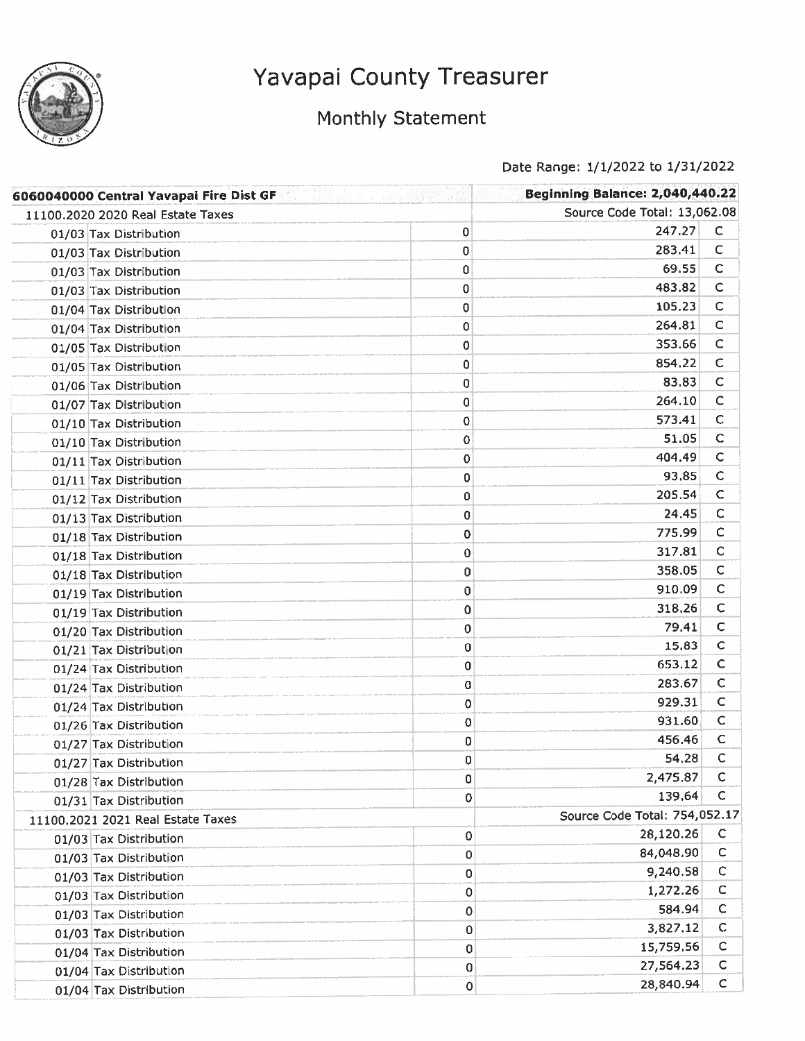

## Monthly Statement

| 6060040000 Central Yavapai Fire Dist GF |             | <b>Beginning Balance: 2,040,440.22</b> |              |
|-----------------------------------------|-------------|----------------------------------------|--------------|
| 11100.2020 2020 Real Estate Taxes       |             | Source Code Total: 13,062.08           |              |
| 01/03 Tax Distribution                  | $\mathbf 0$ | 247.27                                 | $\mathsf{C}$ |
| 01/03 Tax Distribution                  | $\bf{0}$    | 283.41                                 | c            |
| 01/03 Tax Distribution                  | 0           | 69.55                                  | c            |
| 01/03 Tax Distribution                  | 0           | 483.82                                 | $\mathsf{C}$ |
| 01/04 Tax Distribution                  | 0           | 105.23                                 | $\mathsf C$  |
| 01/04 Tax Distribution                  | 0           | 264.81                                 | $\mathsf C$  |
| 01/05 Tax Distribution                  | $\mathbf 0$ | 353.66                                 | C            |
| 01/05 Tax Distribution                  | 0           | 854.22                                 | с            |
| 01/06 Tax Distribution                  | 0           | 83.83                                  | $\mathsf C$  |
| 01/07 Tax Distribution                  | 0           | 264,10                                 | $\mathsf C$  |
| 01/10 Tax Distribution                  | 0           | 573.41                                 | $\mathsf C$  |
| 01/10 Tax Distribution                  | 0           | 51.05                                  | $\mathsf C$  |
| 01/11 Tax Distribution                  | 0           | 404.49                                 | $\mathsf C$  |
| 01/11 Tax Distribution                  | 0           | 93.85                                  | $\mathsf C$  |
| 01/12 Tax Distribution                  | 0           | 205.54                                 | $\mathsf{C}$ |
| 01/13 Tax Distribution                  | 0           | 24.45                                  | $\mathsf{C}$ |
| 01/18 Tax Distribution                  | 0           | 775.99                                 | $\mathsf{C}$ |
| 01/18 Tax Distribution                  | 0           | 317.81                                 | $\mathsf{C}$ |
| 01/18 Tax Distribution                  | 0           | 358.05                                 | C            |
| 01/19 Tax Distribution                  | 0           | 910.09                                 | C            |
| 01/19 Tax Distribution                  | 0           | 318.26                                 | $\mathsf{C}$ |
| 01/20 Tax Distribution                  | 0           | 79.41                                  | $\mathsf{C}$ |
| 01/21 Tax Distribution                  | 0           | 15.83                                  | $\mathsf{C}$ |
| 01/24 Tax Distribution                  | 0           | 653.12                                 | C            |
| 01/24 Tax Distribution                  | 0           | 283.67                                 | С            |
| 01/24 Tax Distribution                  | $\mathbf 0$ | 929.31                                 | C            |
| 01/26 Tax Distribution                  | 0           | 931.60                                 | C            |
| 01/27 Tax Distribution                  | 0           | 456.46                                 | C            |
| 01/27 Tax Distribution                  | 0           | 54.28                                  | C            |
| 01/28 Tax Distribution                  | 0           | 2,475.87                               | C            |
| 01/31 Tax Distribution                  | 0           | 139.64                                 | C            |
| 11100,2021 2021 Real Estate Taxes       |             | Source Code Total: 754,052.17          |              |
| 01/03 Tax Distribution                  | 0           | 28,120.26                              | C            |
| 01/03 Tax Distribution                  | 0           | 84,048.90                              | $\mathsf C$  |
| 01/03 Tax Distribution                  | 0           | 9,240.58                               | C            |
| 01/03 Tax Distribution                  | 0           | 1,272.26                               | C            |
| 01/03 Tax Distribution                  | 0           | 584.94                                 | $\mathsf C$  |
| 01/03 Tax Distribution                  | 0           | 3,827.12                               | $\mathsf{C}$ |
| 01/04 Tax Distribution                  | 0           | 15,759.56                              | C            |
| 01/04 Tax Distribution                  | 0           | 27,564.23                              | $\mathsf{C}$ |
| 01/04 Tax Distribution                  | 0           | 28,840.94                              | $\mathsf{C}$ |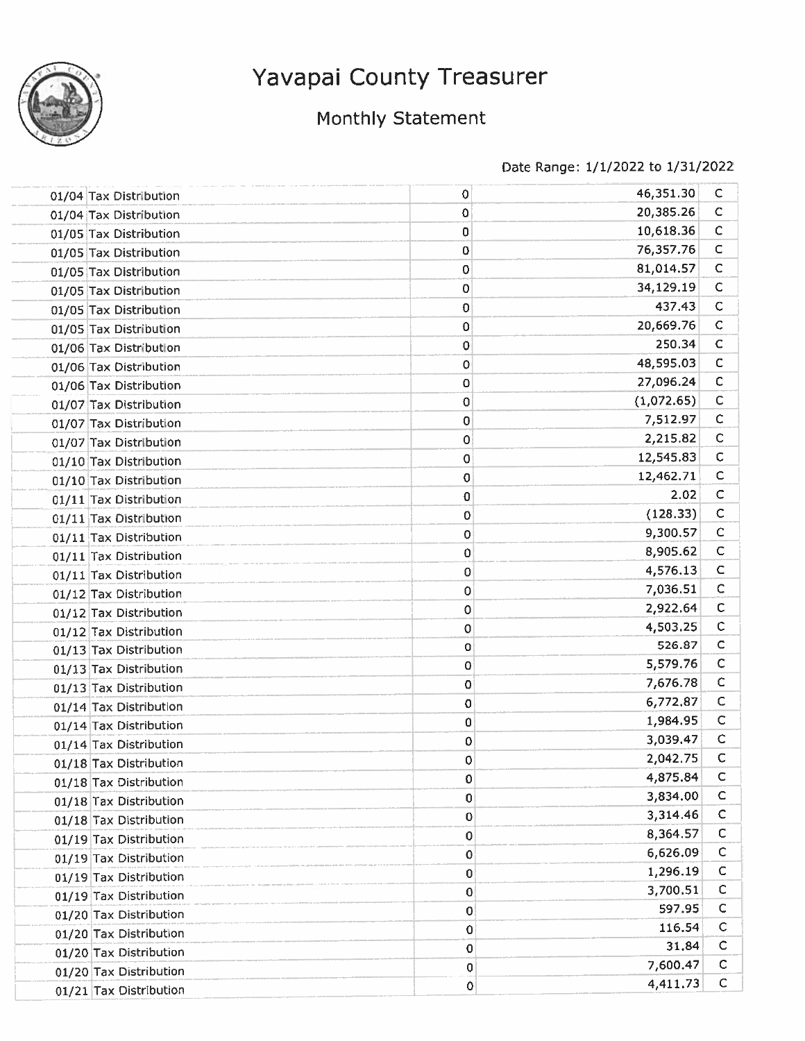

### Monthly Statement

| 01/04 Tax Distribution | 0         | 46,351.30  | C            |
|------------------------|-----------|------------|--------------|
| 01/04 Tax Distribution | 0         | 20,385.26  | $\mathsf C$  |
| 01/05 Tax Distribution | 0         | 10,618.36  | $\mathsf{C}$ |
| 01/05 Tax Distribution | 0         | 76,357.76  | C            |
| 01/05 Tax Distribution | 0         | 81,014.57  | $\mathsf C$  |
| 01/05 Tax Distribution | 0         | 34,129.19  | $\mathsf{C}$ |
| 01/05 Tax Distribution | 0         | 437.43     | $\mathsf{C}$ |
| 01/05 Tax Distribution | 0         | 20,669.76  | $\mathsf C$  |
| 01/06 Tax Distribution | 0         | 250.34     | $\mathsf{C}$ |
| 01/06 Tax Distribution | 0         | 48,595.03  | C            |
| 01/06 Tax Distribution | 0         | 27,096.24  | $\mathsf C$  |
| 01/07 Tax Distribution | 0         | (1,072.65) | $\mathsf{C}$ |
| 01/07 Tax Distribution | 0         | 7,512.97   | $\mathsf{C}$ |
| 01/07 Tax Distribution | 0         | 2,215.82   | $\mathsf{C}$ |
| 01/10 Tax Distribution | 0         | 12,545.83  | C            |
| 01/10 Tax Distribution | 0         | 12,462.71  | c            |
| 01/11 Tax Distribution | 0         | 2.02       | $\mathsf C$  |
| 01/11 Tax Distribution | 0         | (128.33)   | $\mathsf{C}$ |
| 01/11 Tax Distribution | 0         | 9,300.57   | $\mathsf{C}$ |
| 01/11 Tax Distribution | 0         | 8,905.62   | $\mathsf{C}$ |
| 01/11 Tax Distribution | 0         | 4,576.13   | C            |
| 01/12 Tax Distribution | 0         | 7,036.51   | C            |
| 01/12 Tax Distribution | 0         | 2,922.64   | $\mathsf{C}$ |
| 01/12 Tax Distribution | 0         | 4,503.25   | $\mathsf{C}$ |
| 01/13 Tax Distribution | 0         | 526.87     | $\mathsf{C}$ |
| 01/13 Tax Distribution | 0         | 5,579.76   | $\mathsf{C}$ |
| 01/13 Tax Distribution | 0         | 7,676.78   | $\mathsf{C}$ |
| 01/14 Tax Distribution | 0         | 6,772.87   | $\mathsf C$  |
| 01/14 Tax Distribution | $\pmb{0}$ | 1,984.95   | $\mathsf{C}$ |
| 01/14 Tax Distribution | 0         | 3,039.47   | $\mathsf{C}$ |
| 01/18 Tax Distribution | 0         | 2,042.75   | C            |
| 01/18 Tax Distribution | 0         | 4,875.84   | $\mathsf{C}$ |
| 01/18 Tax Distribution | 0         | 3,834.00   | c            |
| 01/18 Tax Distribution | 0         | 3,314.46   | c            |
| 01/19 Tax Distribution | 0         | 8,364.57   | с            |
| 01/19 Tax Distribution | 0         | 6,626.09   | С            |
| 01/19 Tax Distribution | 0         | 1,296.19   | c            |
| 01/19 Tax Distribution | 0         | 3,700.51   | c            |
| 01/20 Tax Distribution | 0         | 597.95     | с            |
| 01/20 Tax Distribution | 0         | 116.54     | c            |
| 01/20 Tax Distribution | 0         | 31.84      | C            |
| 01/20 Tax Distribution | 0         | 7,600.47   | C            |
| 01/21 Tax Distribution | 0         | 4,411.73   | $\mathsf{C}$ |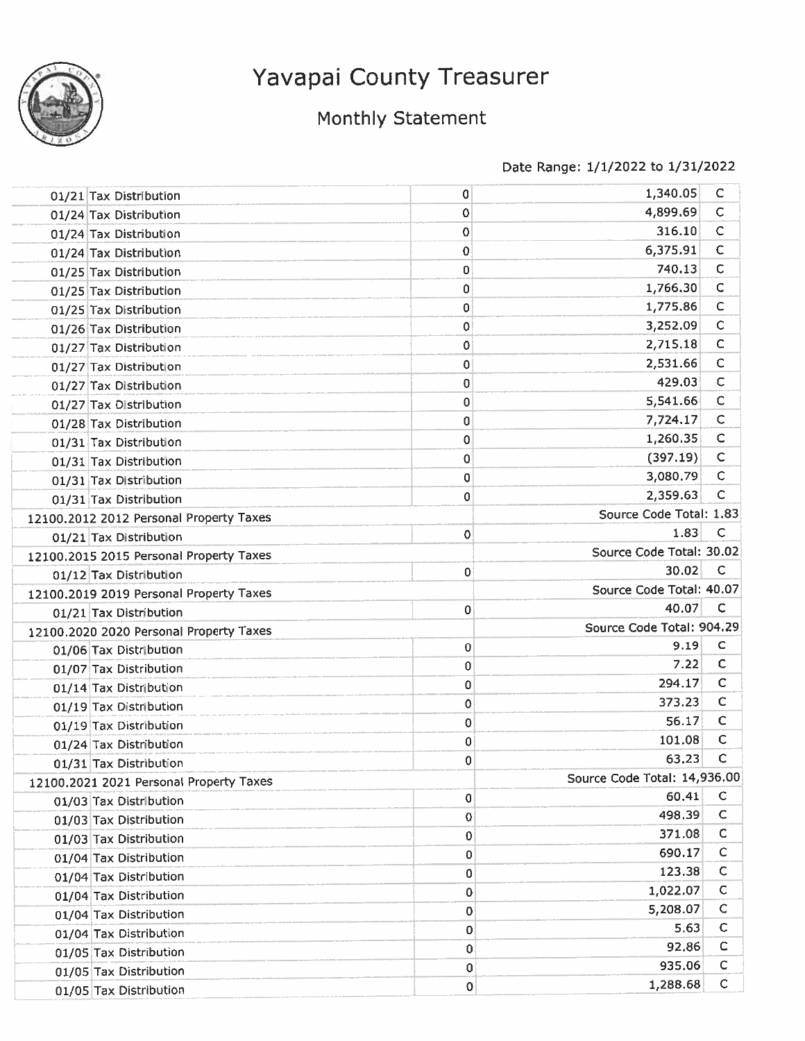

## Monthly Statement

| 01/21 Tax Distribution                  | 0 | 1,340.05                     | $\mathsf{C}$ |
|-----------------------------------------|---|------------------------------|--------------|
| 01/24 Tax Distribution                  | 0 | 4,899.69                     | $\mathsf{C}$ |
| 01/24 Tax Distribution                  | 0 | 316.10                       | $\mathsf{C}$ |
| 01/24 Tax Distribution                  | 0 | 6,375.91                     | $\mathsf{C}$ |
| 01/25 Tax Distribution                  | 0 | 740.13                       | $\mathsf{C}$ |
| 01/25 Tax Distribution                  | 0 | 1,766.30                     | С            |
| 01/25 Tax Distribution                  | 0 | 1,775.86                     | $\mathsf C$  |
| 01/26 Tax Distribution                  | 0 | 3,252.09                     | $\mathsf C$  |
| 01/27 Tax Distribution                  | 0 | 2,715.18                     | $\mathsf C$  |
| 01/27 Tax Distribution                  | 0 | 2,531.66                     | C            |
| 01/27 Tax Distribution                  | 0 | 429.03                       | $\mathsf C$  |
| 01/27 Tax Distribution                  | 0 | 5,541.66                     | $\mathsf C$  |
| 01/28 Tax Distribution                  | 0 | 7,724.17                     | $\mathsf C$  |
| 01/31 Tax Distribution                  | 0 | 1,260.35                     | C            |
| 01/31 Tax Distribution                  | 0 | (397.19)                     | $\mathsf C$  |
| 01/31 Tax Distribution                  | 0 | 3,080.79                     | С            |
| 01/31 Tax Distribution                  | 0 | 2,359.63                     | с            |
| 12100.2012 2012 Personal Property Taxes |   | Source Code Total: 1.83      |              |
| 01/21 Tax Distribution                  | 0 | 1.83                         | C            |
| 12100.2015 2015 Personal Property Taxes |   | Source Code Total: 30.02     |              |
| 01/12 Tax Distribution                  | 0 | 30.02                        | C            |
| 12100.2019 2019 Personal Property Taxes |   | Source Code Total: 40.07     |              |
| 01/21 Tax Distribution                  | 0 | 40.07                        | C            |
| 12100.2020 2020 Personal Property Taxes |   | Source Code Total: 904.29    |              |
| 01/06 Tax Distribution                  | 0 | 9.19                         | $\mathsf C$  |
| 01/07 Tax Distribution                  | 0 | 7.22                         | C            |
| 01/14 Tax Distribution                  | 0 | 294.17                       | С            |
| 01/19 Tax Distribution                  | 0 | 373.23                       | $\mathsf{C}$ |
| 01/19 Tax Distribution                  | 0 | 56.17                        | $\mathsf{C}$ |
| 01/24 Tax Distribution                  | 0 | 101.08                       | $\mathsf{C}$ |
| 01/31 Tax Distribution                  | 0 | 63.23                        | C            |
| 12100.2021 2021 Personal Property Taxes |   | Source Code Total: 14,936.00 |              |
| 01/03 Tax Distribution                  | 0 | 60.41                        | $\mathsf{C}$ |
| 01/03 Tax Distribution                  | 0 | 498.39                       | С            |
| 01/03 Tax Distribution                  | 0 | 371.08                       | c            |
| 01/04 Tax Distribution                  | 0 | 690.17                       | C            |
| 01/04 Tax Distribution                  | 0 | 123.38                       | C            |
| 01/04 Tax Distribution                  | 0 | 1,022.07                     | c            |
| 01/04 Tax Distribution                  | 0 | 5,208.07                     | С            |
| 01/04 Tax Distribution                  | 0 | 5.63                         | $\mathsf{C}$ |
| 01/05 Tax Distribution                  | 0 | 92.86                        | C            |
| 01/05 Tax Distribution                  | 0 | 935.06                       | с            |
| 01/05 Tax Distribution                  | 0 | 1,288.68                     | $\mathsf{C}$ |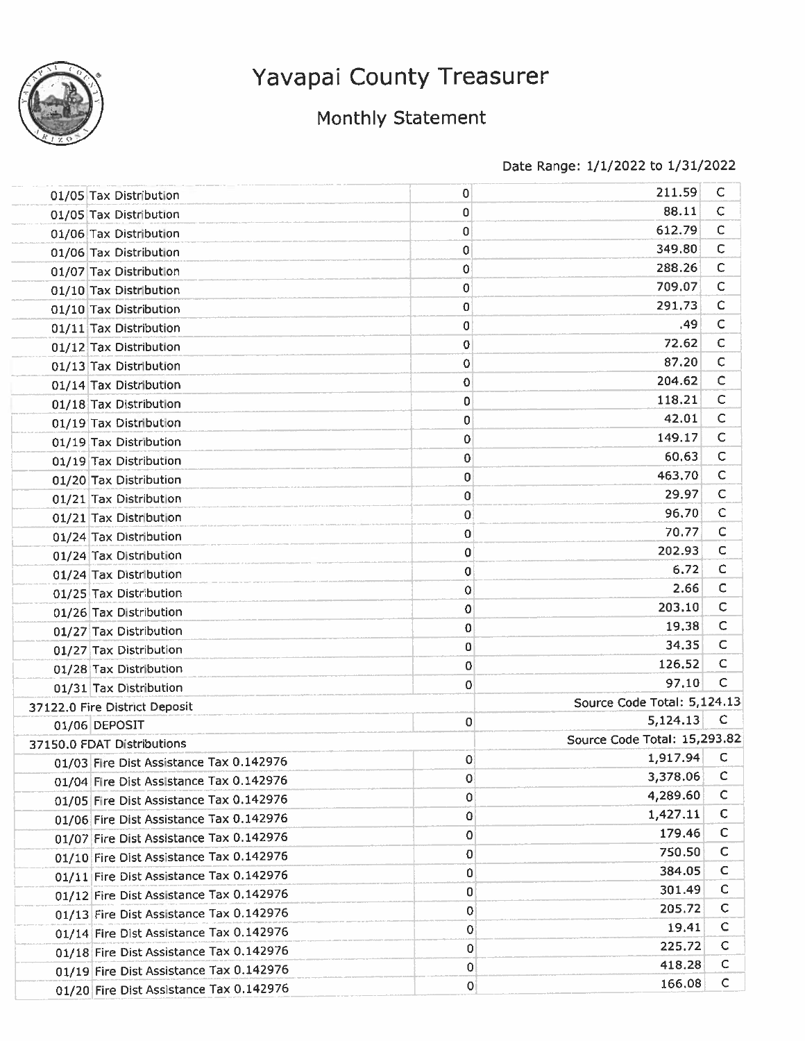

## Monthly Statement

| 01/05 Tax Distribution                  | 0           | 211.59                       | С            |
|-----------------------------------------|-------------|------------------------------|--------------|
| 01/05 Tax Distribution                  | 0           | 88.11                        | С            |
| 01/06 Tax Distribution                  | 0           | 612.79                       | C            |
| 01/06 Tax Distribution                  | 0           | 349.80                       | $\mathsf C$  |
| 01/07 Tax Distribution                  | 0           | 288.26                       | $\mathsf{C}$ |
| 01/10 Tax Distribution                  | 0           | 709.07                       | C            |
| 01/10 Tax Distribution                  | 0           | 291.73                       | c            |
| 01/11 Tax Distribution                  | 0           | .49                          | $\mathsf C$  |
| 01/12 Tax Distribution                  | 0           | 72.62                        | C            |
| 01/13 Tax Distribution                  | 0           | 87.20                        | $\mathsf{C}$ |
| 01/14 Tax Distribution                  | 0           | 204.62                       | C            |
| 01/18 Tax Distribution                  | 0           | 118.21                       | C            |
| 01/19 Tax Distribution                  | 0           | 42.01                        | $\mathsf{C}$ |
| 01/19 Tax Distribution                  | 0           | 149.17                       | c            |
| 01/19 Tax Distribution                  | 0           | 60.63                        | С            |
| 01/20 Tax Distribution                  | 0           | 463.70                       | $\mathsf{C}$ |
| 01/21 Tax Distribution                  | 0           | 29.97                        | $\mathsf{C}$ |
| 01/21 Tax Distribution                  | 0           | 96.70                        | $\mathsf{C}$ |
| 01/24 Tax Distribution                  | 0           | 70.77                        | C            |
| 01/24 Tax Distribution                  | 0           | 202.93                       | C            |
| 01/24 Tax Distribution                  | 0           | 6.72                         | C            |
| 01/25 Tax Distribution                  | 0           | 2.66                         | с            |
| 01/26 Tax Distribution                  | 0           | 203.10                       | C            |
| 01/27 Tax Distribution                  | 0           | 19.38                        | C            |
| 01/27 Tax Distribution                  | 0           | 34.35                        | C            |
| 01/28 Tax Distribution                  | 0           | 126,52                       | C            |
| 01/31 Tax Distribution                  | 0           | 97.10                        | С            |
| 37122.0 Fire District Deposit           |             | Source Code Total: 5,124.13  |              |
| 01/06 DEPOSIT                           | 0           | 5,124.13                     | C            |
| 37150.0 FDAT Distributions              |             | Source Code Total: 15,293.82 |              |
| 01/03 Fire Dist Assistance Tax 0.142976 | 0           | 1,917.94                     | C            |
| 01/04 Fire Dist Assistance Tax 0.142976 | 0           | 3,378.06                     | $\mathsf C$  |
| 01/05 Fire Dist Assistance Tax 0.142976 | 0           | 4,289.60                     | C            |
| 01/06 Fire Dist Assistance Tax 0.142976 | 0           | 1,427.11                     | с            |
| 01/07 Fire Dist Assistance Tax 0.142976 | 0           | 179.46                       | С            |
| 01/10 Fire Dist Assistance Tax 0.142976 | 0           | 750.50                       | С            |
| 01/11 Fire Dist Assistance Tax 0.142976 | 0           | 384.05                       | c            |
| 01/12 Fire Dist Assistance Tax 0.142976 | 0           | 301.49                       | с            |
| 01/13 Fire Dist Assistance Tax 0.142976 | 0           | 205.72                       | С            |
| 01/14 Fire Dist Assistance Tax 0.142976 | $\mathbf 0$ | 19.41                        | C            |
| 01/18 Fire Dist Assistance Tax 0.142976 | 0           | 225.72                       | С            |
| 01/19 Fire Dist Assistance Tax 0.142976 | 0           | 418.28                       | с            |
| 01/20 Fire Dist Assistance Tax 0.142976 | 0           | 166.08                       | $\mathsf C$  |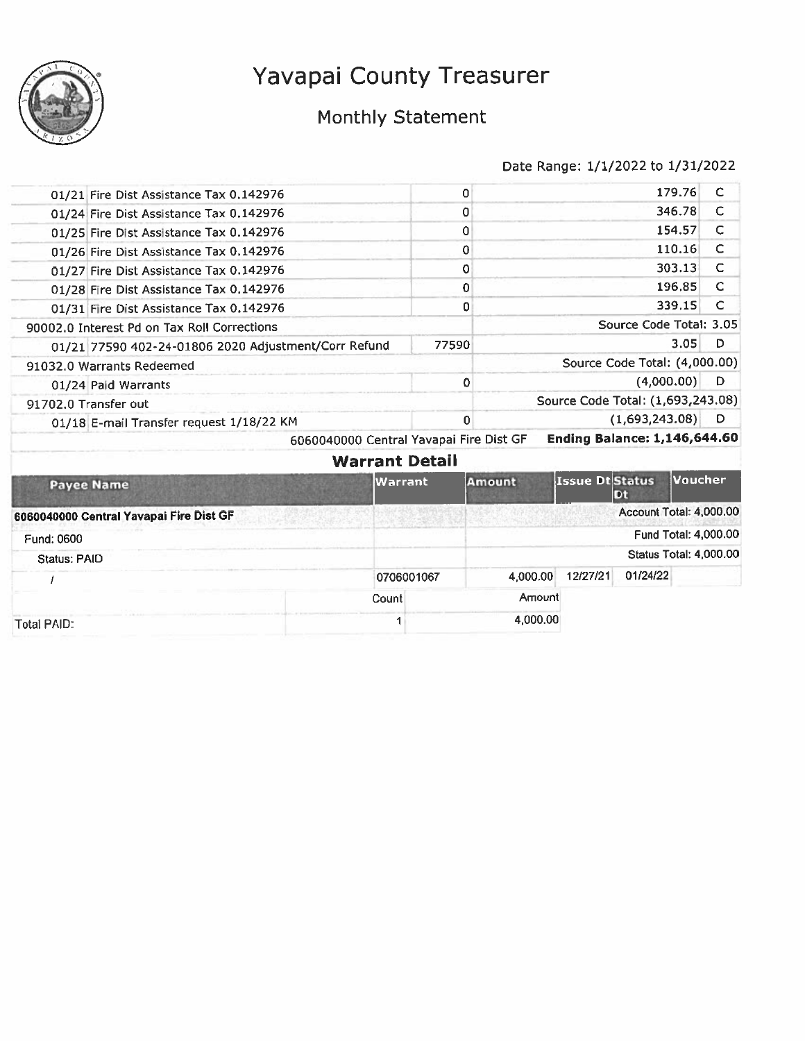

## Monthly Statement

|                     | 01/21 Fire Dist Assistance Tax 0.142976<br>01/24 Fire Dist Assistance Tax 0.142976 |                | 0<br>0                |          |                 |                                     | 179.76<br>346.78 | C<br>c |
|---------------------|------------------------------------------------------------------------------------|----------------|-----------------------|----------|-----------------|-------------------------------------|------------------|--------|
|                     | 01/25 Fire Dist Assistance Tax 0.142976                                            |                | 0                     |          |                 |                                     | 154.57           | C      |
|                     | 01/26 Fire Dist Assistance Tax 0.142976                                            |                | $\mathbf 0$           |          |                 |                                     | 110.16           | C      |
|                     | 01/27 Fire Dist Assistance Tax 0.142976                                            |                | 0                     |          |                 |                                     | 303.13           | C      |
|                     | 01/28 Fire Dist Assistance Tax 0.142976                                            |                | $\mathbf 0$           |          |                 |                                     | 196.85           | C      |
|                     | 01/31 Fire Dist Assistance Tax 0.142976                                            |                | 0                     |          |                 |                                     | 339.15           | C      |
|                     | 90002.0 Interest Pd on Tax Roll Corrections                                        |                |                       |          |                 | Source Code Total: 3.05             |                  |        |
|                     | 01/21 77590 402-24-01806 2020 Adjustment/Corr Refund                               |                | 77590                 |          |                 |                                     | 3.05             | D      |
|                     | 91032.0 Warrants Redeemed                                                          |                |                       |          |                 | Source Code Total: (4,000.00)       |                  |        |
|                     | 01/24 Paid Warrants                                                                |                | 0                     |          |                 | (4,000.00)                          |                  | D      |
|                     | 91702.0 Transfer out                                                               |                |                       |          |                 | Source Code Total: (1,693,243.08)   |                  |        |
|                     | 01/18 E-mail Transfer request 1/18/22 KM                                           |                | 0                     |          |                 | (1,693,243.08)                      |                  | D      |
|                     | 6060040000 Central Yavapai Fire Dist GF                                            |                |                       |          |                 | <b>Ending Balance: 1,146,644.60</b> |                  |        |
|                     |                                                                                    |                | <b>Warrant Detail</b> |          |                 |                                     |                  |        |
|                     | <b>Payee Name</b>                                                                  | <b>Warrant</b> |                       | Amount   | Issue Dt Status | Dt                                  | Voucher          |        |
|                     | 6060040000 Central Yavapai Fire Dist GF                                            |                |                       |          |                 | Account Total: 4,000.00             |                  |        |
| Fund: 0600          |                                                                                    |                |                       |          |                 | Fund Total: 4,000.00                |                  |        |
| <b>Status: PAID</b> |                                                                                    |                |                       |          |                 | <b>Status Total: 4,000.00</b>       |                  |        |
|                     |                                                                                    | 0706001067     |                       | 4.000.00 | 12/27/21        | 01/24/22                            |                  |        |
|                     |                                                                                    | Count          |                       | Amount   |                 |                                     |                  |        |
|                     |                                                                                    |                |                       | 4,000.00 |                 |                                     |                  |        |
| <b>Total PAID:</b>  |                                                                                    |                |                       |          |                 |                                     |                  |        |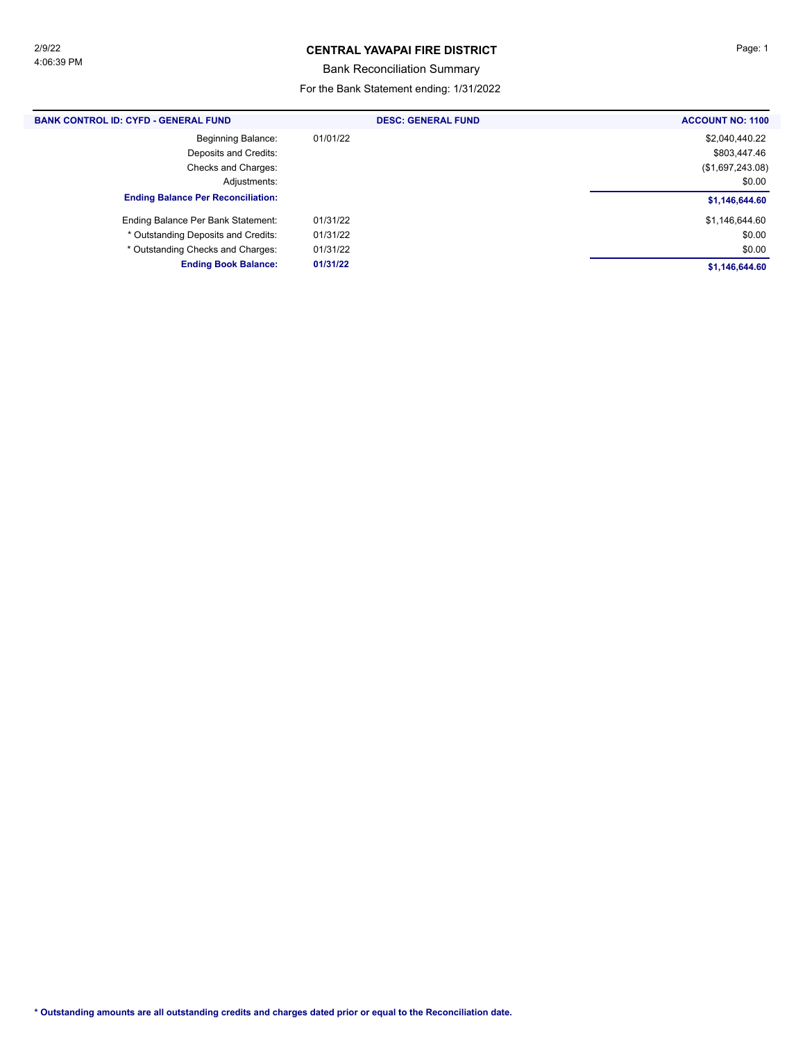#### **CENTRAL YAVAPAI FIRE DISTRICT Page: 1**

Bank Reconciliation Summary

For the Bank Statement ending: 1/31/2022

| <b>BANK CONTROL ID: CYFD - GENERAL FUND</b> | <b>DESC: GENERAL FUND</b> | <b>ACCOUNT NO: 1100</b> |
|---------------------------------------------|---------------------------|-------------------------|
| <b>Beginning Balance:</b>                   | 01/01/22                  | \$2,040,440.22          |
| Deposits and Credits:                       |                           | \$803,447.46            |
| Checks and Charges:                         |                           | (\$1,697,243.08)        |
| Adjustments:                                |                           | \$0.00                  |
| <b>Ending Balance Per Reconciliation:</b>   |                           | \$1,146,644.60          |
| Ending Balance Per Bank Statement:          | 01/31/22                  | \$1,146,644.60          |
| * Outstanding Deposits and Credits:         | 01/31/22                  | \$0.00                  |
| * Outstanding Checks and Charges:           | 01/31/22                  | \$0.00                  |
| <b>Ending Book Balance:</b>                 | 01/31/22                  | \$1,146,644.60          |
|                                             |                           |                         |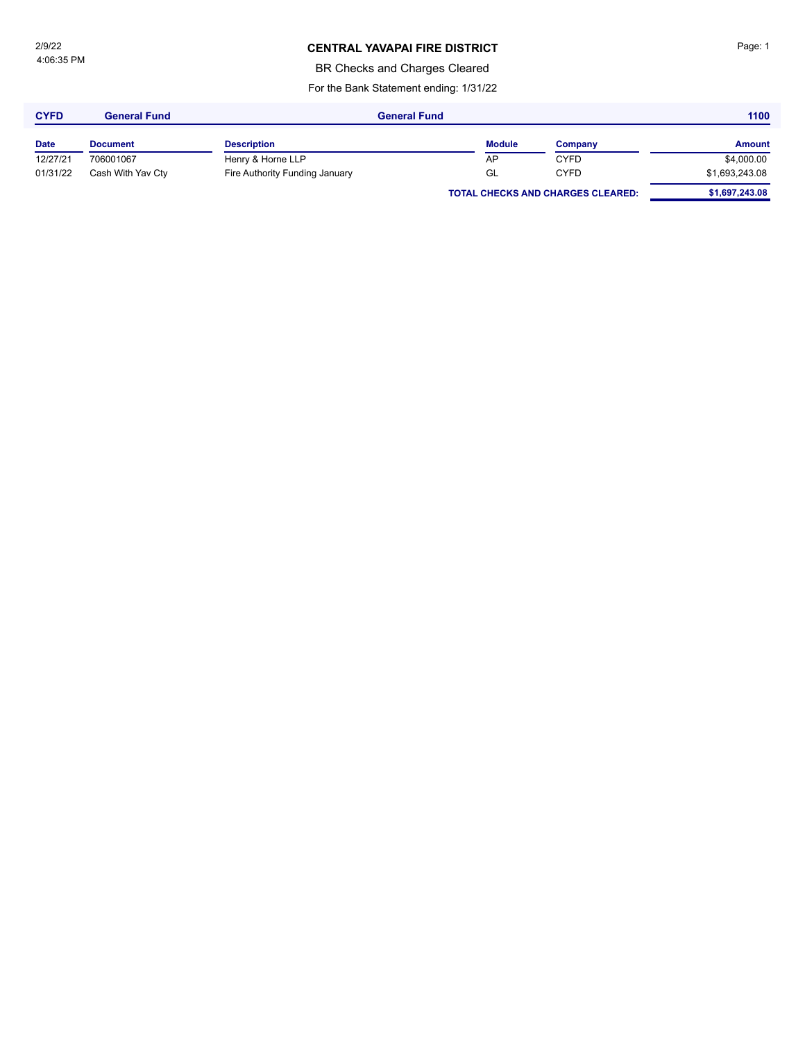4:06:35 PM 2/9/22

### **CENTRAL YAVAPAI FIRE DISTRICT Page: 1**

BR Checks and Charges Cleared

For the Bank Statement ending: 1/31/22

| <b>CYFD</b> | General Fund      | <b>General Fund</b>            |               |                                          |                |  | 1100 |  |
|-------------|-------------------|--------------------------------|---------------|------------------------------------------|----------------|--|------|--|
| <b>Date</b> | <b>Document</b>   | <b>Description</b>             | <b>Module</b> | Company                                  | <b>Amount</b>  |  |      |  |
| 12/27/21    | 706001067         | Henry & Horne LLP              | AP            | <b>CYFD</b>                              | \$4,000.00     |  |      |  |
| 01/31/22    | Cash With Yav Cty | Fire Authority Funding January | GL            | <b>CYFD</b>                              | \$1,693,243.08 |  |      |  |
|             |                   |                                |               | <b>TOTAL CHECKS AND CHARGES CLEARED:</b> | \$1,697,243.08 |  |      |  |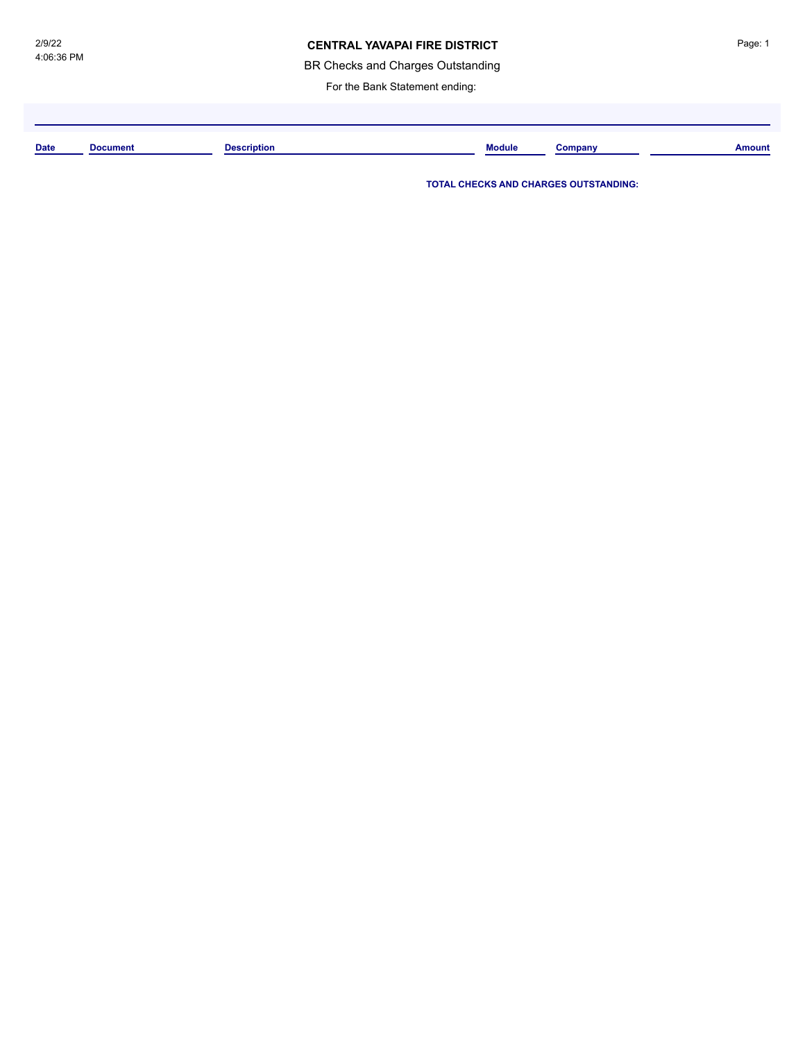### **CENTRAL YAVAPAI FIRE DISTRICT**

BR Checks and Charges Outstanding

For the Bank Statement ending:

**Date Document Description Module Company Amount**

**TOTAL CHECKS AND CHARGES OUTSTANDING:**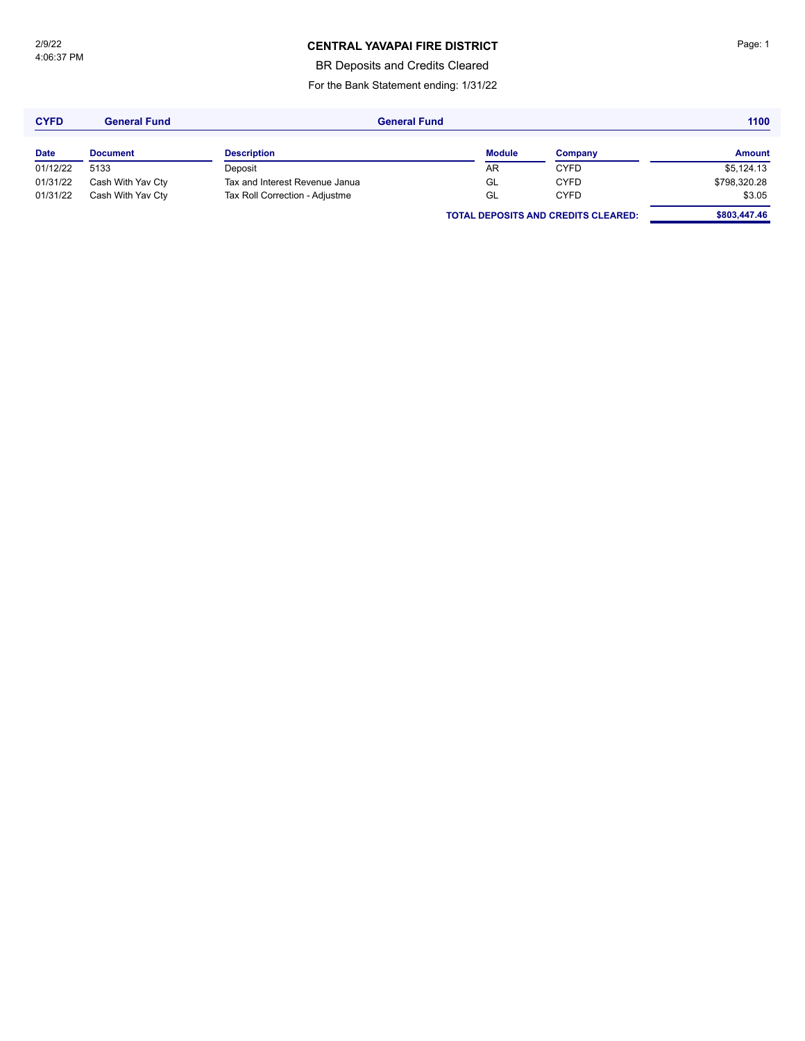### **CENTRAL YAVAPAI FIRE DISTRICT Page: 1**

BR Deposits and Credits Cleared

For the Bank Statement ending: 1/31/22

| <b>CYFD</b> | <b>General Fund</b> |                                | <b>General Fund</b> |                                            |               |
|-------------|---------------------|--------------------------------|---------------------|--------------------------------------------|---------------|
| <b>Date</b> | <b>Document</b>     | <b>Description</b>             | <b>Module</b>       | Company                                    | <b>Amount</b> |
| 01/12/22    | 5133                | Deposit                        | AR                  | <b>CYFD</b>                                | \$5,124.13    |
| 01/31/22    | Cash With Yav Cty   | Tax and Interest Revenue Janua | GL                  | <b>CYFD</b>                                | \$798,320.28  |
| 01/31/22    | Cash With Yav Cty   | Tax Roll Correction - Adjustme | GL                  | <b>CYFD</b>                                | \$3.05        |
|             |                     |                                |                     | <b>TOTAL DEPOSITS AND CREDITS CLEARED:</b> | \$803,447.46  |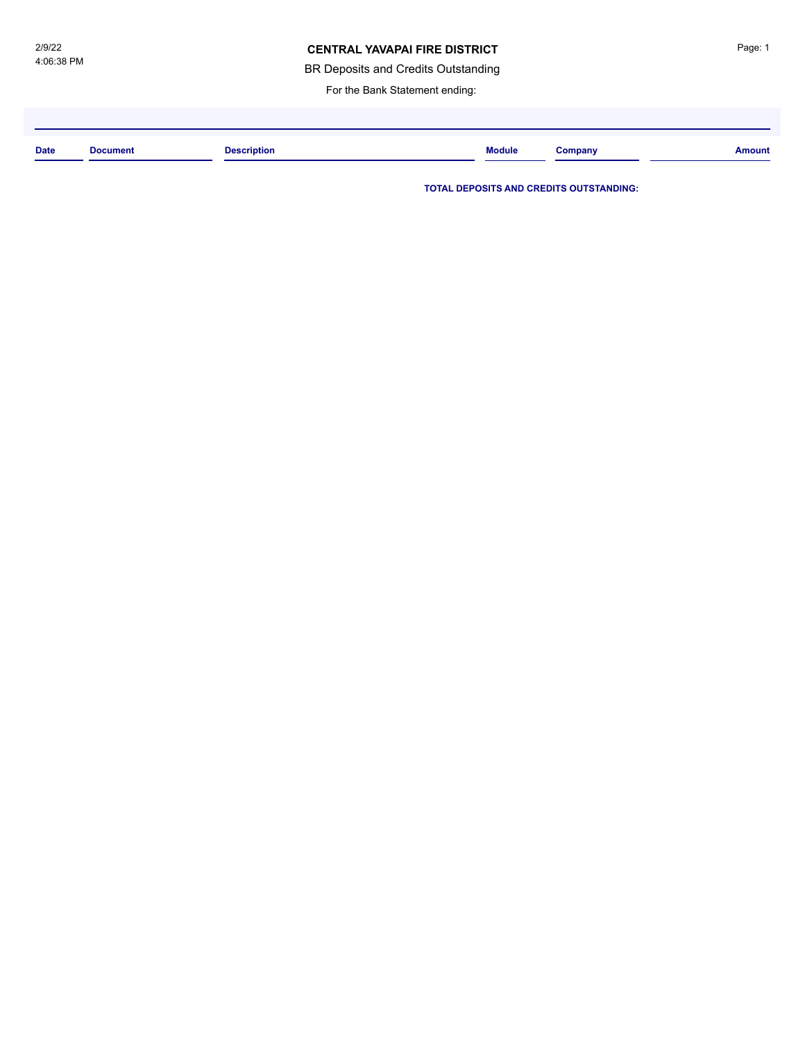#### **CENTRAL YAVAPAI FIRE DISTRICT**

BR Deposits and Credits Outstanding

For the Bank Statement ending:

| <b>Date</b> | <b>Document</b> | <b>Description</b><br>. | <b>Module</b> | Jompany | <b>Amount</b> |
|-------------|-----------------|-------------------------|---------------|---------|---------------|
|             |                 |                         |               |         |               |

**TOTAL DEPOSITS AND CREDITS OUTSTANDING:**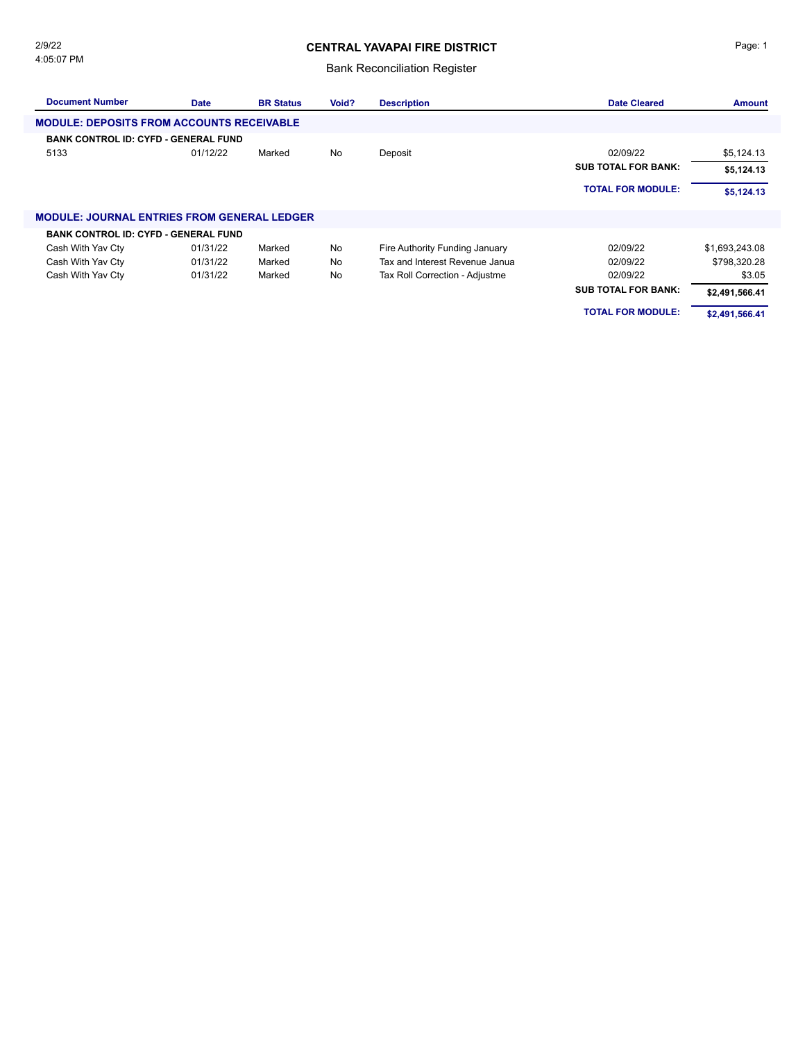### **CENTRAL YAVAPAI FIRE DISTRICT**

#### Bank Reconciliation Register

| <b>Document Number</b>                             | <b>Date</b> | <b>BR Status</b> | Void? | <b>Description</b>             | <b>Date Cleared</b>        | <b>Amount</b>  |
|----------------------------------------------------|-------------|------------------|-------|--------------------------------|----------------------------|----------------|
| <b>MODULE: DEPOSITS FROM ACCOUNTS RECEIVABLE</b>   |             |                  |       |                                |                            |                |
| <b>BANK CONTROL ID: CYFD - GENERAL FUND</b>        |             |                  |       |                                |                            |                |
| 5133                                               | 01/12/22    | Marked           | No    | Deposit                        | 02/09/22                   | \$5,124.13     |
|                                                    |             |                  |       |                                | <b>SUB TOTAL FOR BANK:</b> | \$5,124.13     |
|                                                    |             |                  |       |                                | <b>TOTAL FOR MODULE:</b>   | \$5,124.13     |
| <b>MODULE: JOURNAL ENTRIES FROM GENERAL LEDGER</b> |             |                  |       |                                |                            |                |
| <b>BANK CONTROL ID: CYFD - GENERAL FUND</b>        |             |                  |       |                                |                            |                |
| Cash With Yav Cty                                  | 01/31/22    | Marked           | No    | Fire Authority Funding January | 02/09/22                   | \$1,693,243.08 |
| Cash With Yav Cty                                  | 01/31/22    | Marked           | No    | Tax and Interest Revenue Janua | 02/09/22                   | \$798,320.28   |
| Cash With Yav Cty                                  | 01/31/22    | Marked           | No    | Tax Roll Correction - Adjustme | 02/09/22                   | \$3.05         |
|                                                    |             |                  |       |                                | <b>SUB TOTAL FOR BANK:</b> | \$2,491,566.41 |
|                                                    |             |                  |       |                                | <b>TOTAL FOR MODULE:</b>   | \$2,491,566.41 |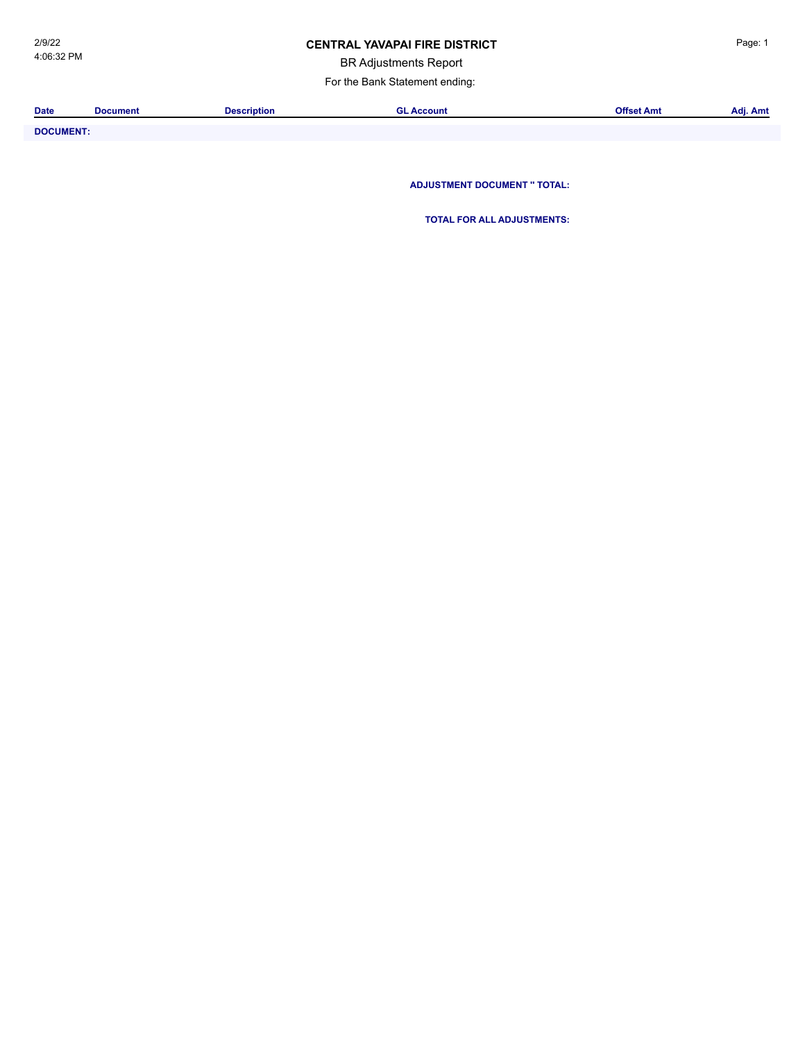### **CENTRAL YAVAPAI FIRE DISTRICT Example 20 AVACAL Page: 1**

BR Adjustments Report

For the Bank Statement ending:

| <b>Date</b>           | <b>Document</b> | Description | Account | Offset Amt | . .<br>Adj. Amt |
|-----------------------|-----------------|-------------|---------|------------|-----------------|
|                       |                 |             |         |            |                 |
| _ _ _ _ _ _ _ _ _ _ _ |                 |             |         |            |                 |

**DOCUMENT: ADJUSTMENT DOCUMENT '' TOTAL:**

**TOTAL FOR ALL ADJUSTMENTS:**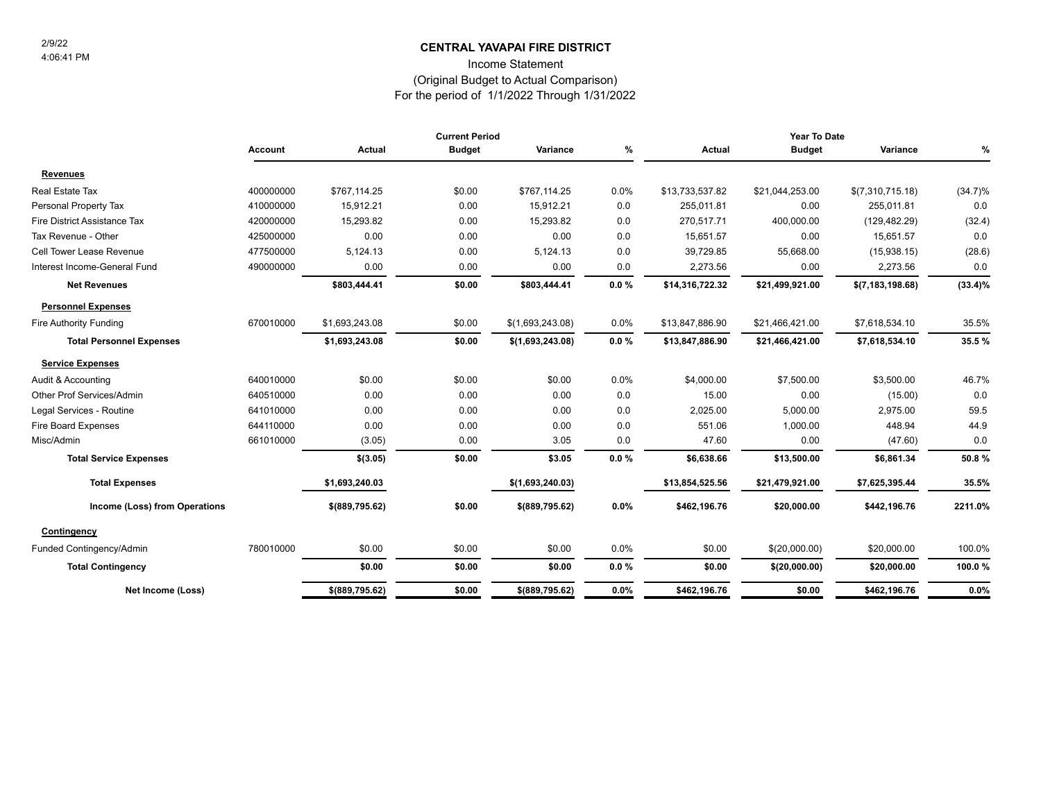### **CENTRAL YAVAPAI FIRE DISTRICT** 2/9/22

Income Statement

#### (Original Budget to Actual Comparison)

For the period of 1/1/2022 Through 1/31/2022

|                                 |           |                  | <b>Current Period</b> |                  |          | Year To Date    |                 |                    |            |
|---------------------------------|-----------|------------------|-----------------------|------------------|----------|-----------------|-----------------|--------------------|------------|
|                                 | Account   | Actual           | <b>Budget</b>         | Variance         | %        | Actual          | <b>Budget</b>   | Variance           | %          |
| <b>Revenues</b>                 |           |                  |                       |                  |          |                 |                 |                    |            |
| Real Estate Tax                 | 400000000 | \$767,114.25     | \$0.00                | \$767,114.25     | 0.0%     | \$13,733,537.82 | \$21,044,253.00 | \$(7,310,715.18)   | $(34.7)\%$ |
| Personal Property Tax           | 410000000 | 15,912.21        | 0.00                  | 15,912.21        | 0.0      | 255,011.81      | 0.00            | 255,011.81         | 0.0        |
| Fire District Assistance Tax    | 420000000 | 15,293.82        | 0.00                  | 15,293.82        | 0.0      | 270,517.71      | 400,000.00      | (129, 482.29)      | (32.4)     |
| Tax Revenue - Other             | 425000000 | 0.00             | 0.00                  | 0.00             | 0.0      | 15,651.57       | 0.00            | 15,651.57          | 0.0        |
| Cell Tower Lease Revenue        | 477500000 | 5,124.13         | 0.00                  | 5,124.13         | 0.0      | 39,729.85       | 55,668.00       | (15,938.15)        | (28.6)     |
| Interest Income-General Fund    | 490000000 | 0.00             | 0.00                  | 0.00             | 0.0      | 2,273.56        | 0.00            | 2,273.56           | 0.0        |
| <b>Net Revenues</b>             |           | \$803,444.41     | \$0.00                | \$803,444.41     | 0.0%     | \$14,316,722.32 | \$21,499,921.00 | \$(7, 183, 198.68) | $(33.4)\%$ |
| <b>Personnel Expenses</b>       |           |                  |                       |                  |          |                 |                 |                    |            |
| Fire Authority Funding          | 670010000 | \$1,693,243.08   | \$0.00                | \$(1,693,243.08) | 0.0%     | \$13,847,886.90 | \$21,466,421.00 | \$7,618,534.10     | 35.5%      |
| <b>Total Personnel Expenses</b> |           | \$1,693,243.08   | \$0.00                | \$(1,693,243.08) | $0.0 \%$ | \$13,847,886.90 | \$21,466,421.00 | \$7,618,534.10     | 35.5%      |
| <b>Service Expenses</b>         |           |                  |                       |                  |          |                 |                 |                    |            |
| Audit & Accounting              | 640010000 | \$0.00           | \$0.00                | \$0.00           | 0.0%     | \$4,000.00      | \$7,500.00      | \$3,500.00         | 46.7%      |
| Other Prof Services/Admin       | 640510000 | 0.00             | 0.00                  | 0.00             | 0.0      | 15.00           | 0.00            | (15.00)            | 0.0        |
| Legal Services - Routine        | 641010000 | 0.00             | 0.00                  | 0.00             | 0.0      | 2,025.00        | 5,000.00        | 2,975.00           | 59.5       |
| Fire Board Expenses             | 644110000 | 0.00             | 0.00                  | 0.00             | 0.0      | 551.06          | 1,000.00        | 448.94             | 44.9       |
| Misc/Admin                      | 661010000 | (3.05)           | 0.00                  | 3.05             | 0.0      | 47.60           | 0.00            | (47.60)            | 0.0        |
| <b>Total Service Expenses</b>   |           | \$(3.05)         | \$0.00                | \$3.05           | 0.0%     | \$6,638.66      | \$13,500.00     | \$6,861.34         | 50.8%      |
| <b>Total Expenses</b>           |           | \$1,693,240.03   |                       | \$(1,693,240.03) |          | \$13,854,525.56 | \$21,479,921.00 | \$7,625,395.44     | 35.5%      |
| Income (Loss) from Operations   |           | $$$ (889,795.62) | \$0.00                | \$(889,795.62)   | $0.0\%$  | \$462,196.76    | \$20,000.00     | \$442,196.76       | 2211.0%    |
| Contingency                     |           |                  |                       |                  |          |                 |                 |                    |            |
| Funded Contingency/Admin        | 780010000 | \$0.00           | \$0.00                | \$0.00           | 0.0%     | \$0.00          | \$(20,000.00)   | \$20,000.00        | 100.0%     |
| <b>Total Contingency</b>        |           | \$0.00           | \$0.00                | \$0.00           | $0.0 \%$ | \$0.00          | \$(20,000.00)   | \$20,000.00        | 100.0%     |
| Net Income (Loss)               |           | $$$ (889,795.62) | \$0.00                | \$(889,795.62)   | 0.0%     | \$462,196.76    | \$0.00          | \$462,196.76       | 0.0%       |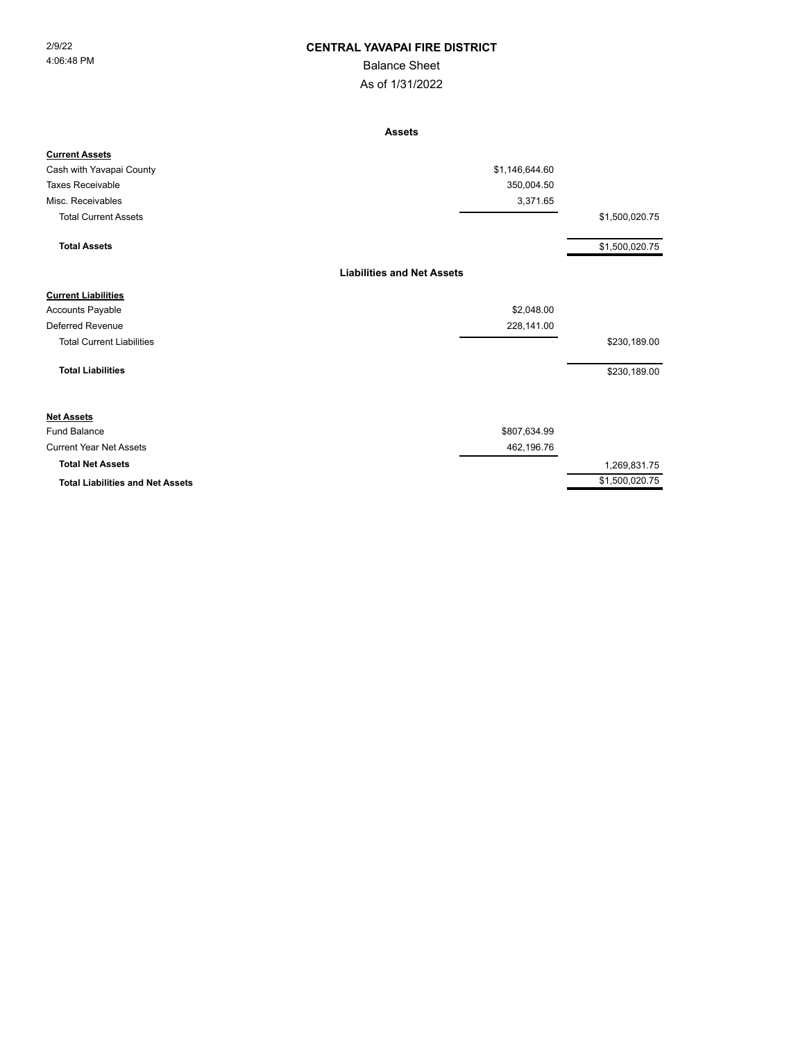#### 2/9/22 **CENTRAL YAVAPAI FIRE DISTRICT**

### Balance Sheet

As of 1/31/2022

**Assets**

| <b>Current Assets</b>                   |                                   |                |
|-----------------------------------------|-----------------------------------|----------------|
| Cash with Yavapai County                | \$1,146,644.60                    |                |
| <b>Taxes Receivable</b>                 | 350,004.50                        |                |
| Misc. Receivables                       | 3,371.65                          |                |
| <b>Total Current Assets</b>             |                                   | \$1,500,020.75 |
| <b>Total Assets</b>                     |                                   | \$1,500,020.75 |
|                                         | <b>Liabilities and Net Assets</b> |                |
| <b>Current Liabilities</b>              |                                   |                |
| <b>Accounts Payable</b>                 | \$2,048.00                        |                |
| <b>Deferred Revenue</b>                 | 228,141.00                        |                |
| <b>Total Current Liabilities</b>        |                                   | \$230,189.00   |
| <b>Total Liabilities</b>                |                                   | \$230,189.00   |
| <b>Net Assets</b>                       |                                   |                |
| <b>Fund Balance</b>                     | \$807,634.99                      |                |
| <b>Current Year Net Assets</b>          | 462,196.76                        |                |
| <b>Total Net Assets</b>                 |                                   | 1,269,831.75   |
| <b>Total Liabilities and Net Assets</b> |                                   | \$1,500,020.75 |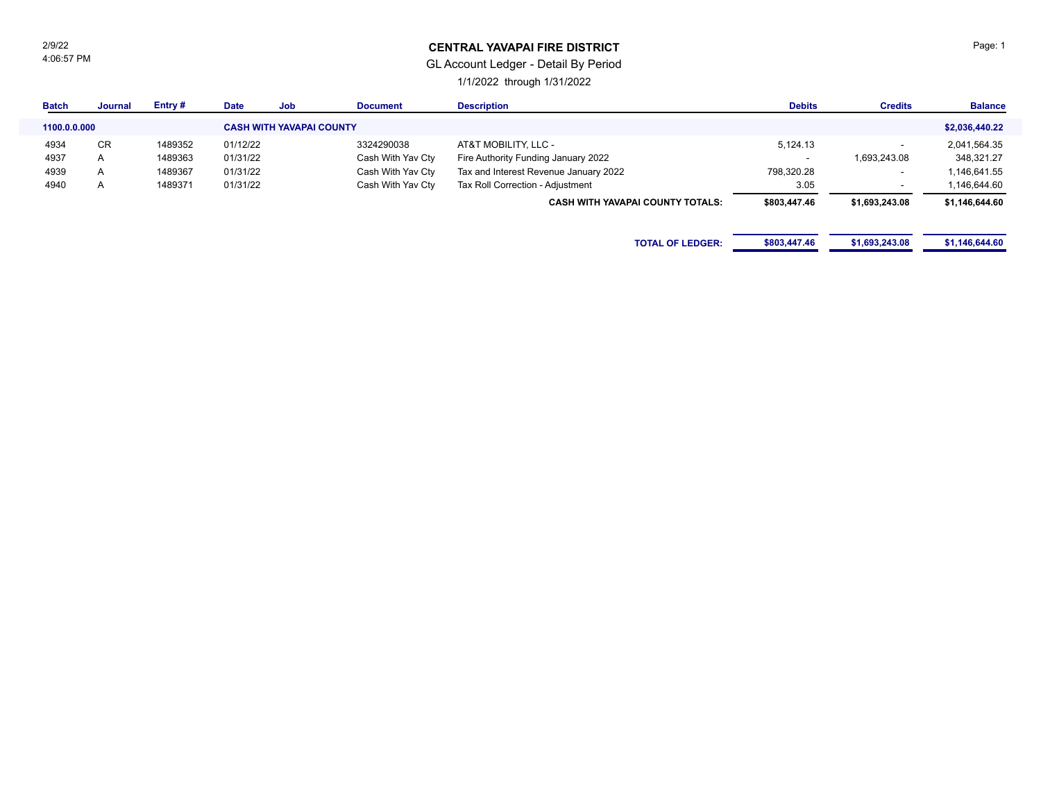2/9/22 4:06:57 PM

### **CENTRAL YAVAPAI FIRE DISTRICT**

### GL Account Ledger - Detail By Period

1/1/2022 through 1/31/2022

| <b>Batch</b> | <b>Journal</b> | Entry#  | <b>Date</b> | <b>Job</b>                      | <b>Document</b>   | <b>Description</b>                      | <b>Debits</b>            | <b>Credits</b>           | <b>Balance</b> |
|--------------|----------------|---------|-------------|---------------------------------|-------------------|-----------------------------------------|--------------------------|--------------------------|----------------|
| 1100.0.0.000 |                |         |             | <b>CASH WITH YAVAPAI COUNTY</b> |                   |                                         |                          |                          | \$2,036,440.22 |
| 4934         | CR.            | 1489352 | 01/12/22    |                                 | 3324290038        | AT&T MOBILITY, LLC -                    | 5,124.13                 |                          | 2,041,564.35   |
| 4937         | $\mathsf{A}$   | 1489363 | 01/31/22    |                                 | Cash With Yav Cty | Fire Authority Funding January 2022     | $\overline{\phantom{a}}$ | 1,693,243.08             | 348,321.27     |
| 4939         | $\mathsf{A}$   | 1489367 | 01/31/22    |                                 | Cash With Yav Cty | Tax and Interest Revenue January 2022   | 798,320.28               |                          | 1,146,641.55   |
| 4940         | $\mathsf{A}$   | 1489371 | 01/31/22    |                                 | Cash With Yav Cty | Tax Roll Correction - Adjustment        | 3.05                     | $\overline{\phantom{0}}$ | 1,146,644.60   |
|              |                |         |             |                                 |                   | <b>CASH WITH YAVAPAI COUNTY TOTALS:</b> | \$803,447.46             | \$1,693,243.08           | \$1,146,644.60 |
|              |                |         |             |                                 |                   |                                         |                          |                          |                |
|              |                |         |             |                                 |                   | <b>TOTAL OF LEDGER:</b>                 | \$803,447.46             | \$1,693,243.08           | \$1,146,644.60 |
|              |                |         |             |                                 |                   |                                         |                          |                          |                |

Page: 1